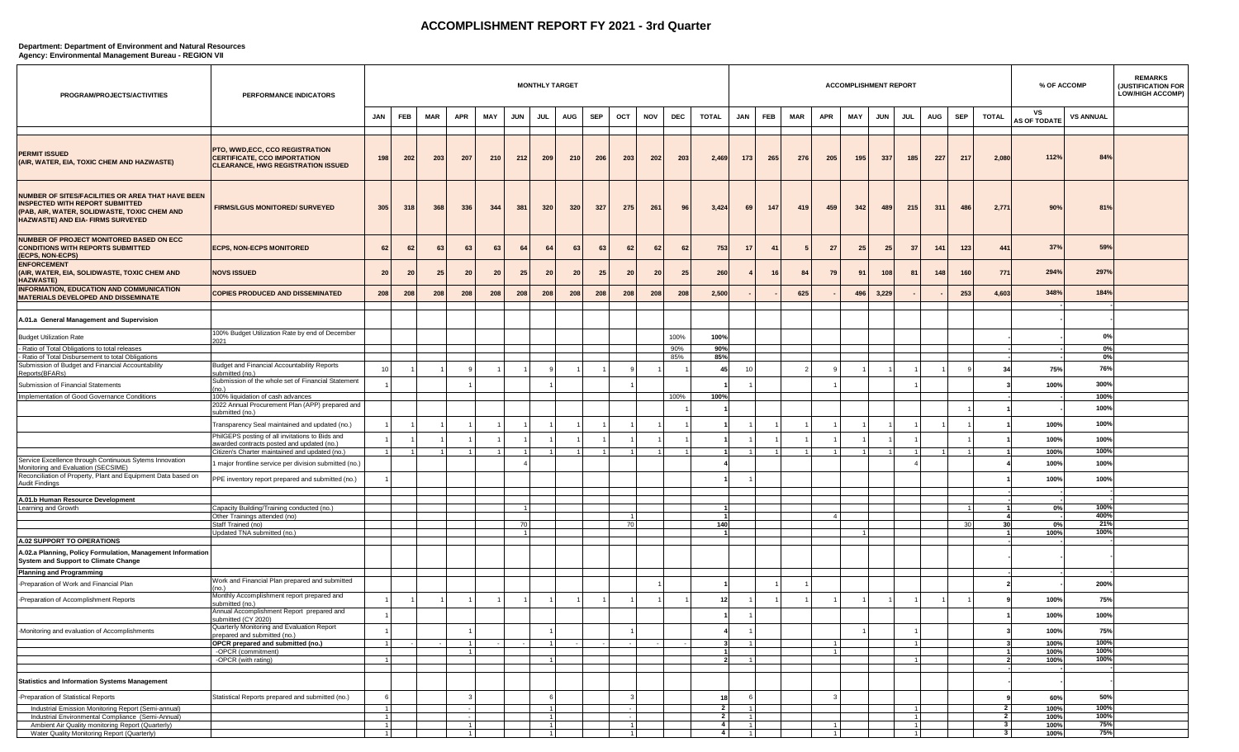## **ACCOMPLISHMENT REPORT FY 2021 - 3rd Quarter**

## **Department: Department of Environment and Natural Resources**

**Agency: Environmental Management Bureau - REGION VII**

| PROGRAM/PROJECTS/ACTIVITIES                                                                                                                                                             | PERFORMANCE INDICATORS                                                                                             |                     |     |     |     |            |            | <b>MONTHLY TARGET</b> |     |     |     |            |      |                                  |                                  |     |     |                | <b>ACCOMPLISHMENT REPORT</b> |            |            |     |     |                         | % OF ACCOMP               |                  | <b>REMARKS</b><br>(JUSTIFICATION FOR<br><b>LOW/HIGH ACCOMP)</b> |
|-----------------------------------------------------------------------------------------------------------------------------------------------------------------------------------------|--------------------------------------------------------------------------------------------------------------------|---------------------|-----|-----|-----|------------|------------|-----------------------|-----|-----|-----|------------|------|----------------------------------|----------------------------------|-----|-----|----------------|------------------------------|------------|------------|-----|-----|-------------------------|---------------------------|------------------|-----------------------------------------------------------------|
|                                                                                                                                                                                         |                                                                                                                    | <b>JAN</b>          | FEB | MAR | APR | <b>MAY</b> | <b>JUN</b> | <b>JUL</b>            | AUG | SEP | OCT | <b>NOV</b> | DEC  | <b>TOTAL</b>                     | <b>JAN</b>                       | FEB | MAR | APR            | MAY                          | <b>JUN</b> | <b>JUL</b> | AUG | SEP | <b>TOTAL</b>            | vs<br><b>AS OF TODATE</b> | <b>VS ANNUAL</b> |                                                                 |
| <b>PERMIT ISSUED</b><br>(AIR, WATER, EIA, TOXIC CHEM AND HAZWASTE)                                                                                                                      | PTO, WWD,ECC, CCO REGISTRATION<br><b>CERTIFICATE, CCO IMPORTATION</b><br><b>CLEARANCE, HWG REGISTRATION ISSUED</b> | 198                 | 202 | 203 | 207 | 210        | 212        | 209                   | 210 | 206 | 203 | 202        | 203  | 2,469                            | 173                              | 265 | 276 | 205            | 195                          | 337        | 185        | 227 | 217 | 2,080                   | 112%                      | 84%              |                                                                 |
| NUMBER OF SITES/FACILITIES OR AREA THAT HAVE BEEN<br><b>INSPECTED WITH REPORT SUBMITTED</b><br>(PAB, AIR, WATER, SOLIDWASTE, TOXIC CHEM AND<br><b>HAZWASTE) AND EIA- FIRMS SURVEYED</b> | <b>FIRMS/LGUS MONITORED/ SURVEYED</b>                                                                              | 305                 | 318 | 368 | 336 | 344        | 381        | 320                   | 320 | 327 | 275 | 261        | 96   | 3,424                            | 69                               | 147 | 419 | 459            | 342                          | 489        | 215        | 311 | 486 | 2,77                    | 90%                       | 81%              |                                                                 |
| NUMBER OF PROJECT MONITORED BASED ON ECC<br><b>CONDITIONS WITH REPORTS SUBMITTED</b><br>(ECPS, NON-ECPS)                                                                                | <b>ECPS, NON-ECPS MONITORED</b>                                                                                    | 62                  | 62  | 63  | 63  | 63         | 64         | 64                    | 63  | 63  | 62  | 62         | 62   | 753                              | -17                              | 41  |     | 27             | 25                           | 25         | 37         | 141 | 123 | 441                     | 37%                       | 59%              |                                                                 |
| <b>ENFORCEMENT</b><br>(AIR, WATER, EIA, SOLIDWASTE, TOXIC CHEM AND<br><b>HAZWASTE)</b>                                                                                                  | <b>NOVS ISSUED</b>                                                                                                 | 20                  | 20  | 25  | 20  | 20         | 25         | 20                    | 20  | 25  | 20  | 20         | 25   | 260                              |                                  | 16  | 84  | 79             | 91                           | 108        | 81         | 148 | 160 | 771                     | 294%                      | 297%             |                                                                 |
| <b>INFORMATION, EDUCATION AND COMMUNICATION</b><br><b>MATERIALS DEVELOPED AND DISSEMINATE</b>                                                                                           | <b>COPIES PRODUCED AND DISSEMINATED</b>                                                                            | 208                 | 208 | 208 | 208 | 208        | 208        | 208                   | 208 | 208 | 208 | 208        | 208  | 2,500                            |                                  |     | 625 |                | 496                          | 3,229      |            |     | 253 | 4,603                   | 348%                      | 184%             |                                                                 |
| A.01.a General Management and Supervision                                                                                                                                               |                                                                                                                    |                     |     |     |     |            |            |                       |     |     |     |            |      |                                  |                                  |     |     |                |                              |            |            |     |     |                         |                           |                  |                                                                 |
| <b>Budget Utilization Rate</b>                                                                                                                                                          | 100% Budget Utilization Rate by end of December                                                                    |                     |     |     |     |            |            |                       |     |     |     |            | 100% | 100%                             |                                  |     |     |                |                              |            |            |     |     |                         |                           | 0%               |                                                                 |
| - Ratio of Total Obligations to total releases                                                                                                                                          | 2021                                                                                                               |                     |     |     |     |            |            |                       |     |     |     |            | 90%  | 90%                              |                                  |     |     |                |                              |            |            |     |     |                         |                           | 0%               |                                                                 |
| - Ratio of Total Disbursement to total Obligations                                                                                                                                      |                                                                                                                    |                     |     |     |     |            |            |                       |     |     |     |            | 85%  | 85%                              |                                  |     |     |                |                              |            |            |     |     |                         |                           | 0%               |                                                                 |
| Submission of Budget and Financial Accountability<br>Reports(BFARs)                                                                                                                     | Budget and Financial Accountability Reports<br>submitted (no.)                                                     | 10                  |     |     |     |            |            |                       |     |     |     |            |      | 45                               | 10                               |     |     |                |                              |            |            |     |     |                         | 75%                       | 76%              |                                                                 |
| Submission of Financial Statements                                                                                                                                                      | Submission of the whole set of Financial Statement<br>(no.)                                                        |                     |     |     |     |            |            |                       |     |     |     |            |      |                                  |                                  |     |     |                |                              |            |            |     |     |                         | 100%                      | 300%             |                                                                 |
| Implementation of Good Governance Conditions                                                                                                                                            | 100% liquidation of cash advances                                                                                  |                     |     |     |     |            |            |                       |     |     |     |            | 100% | 100%                             |                                  |     |     |                |                              |            |            |     |     |                         |                           | 100%             |                                                                 |
|                                                                                                                                                                                         | 2022 Annual Procurement Plan (APP) prepared and<br>submitted (no.)                                                 |                     |     |     |     |            |            |                       |     |     |     |            |      |                                  |                                  |     |     |                |                              |            |            |     |     |                         |                           | 100%             |                                                                 |
|                                                                                                                                                                                         | Transparency Seal maintained and updated (no.)                                                                     |                     |     |     |     |            |            |                       |     |     |     |            |      |                                  |                                  |     |     |                |                              |            |            |     |     |                         | 100%                      | 100%             |                                                                 |
|                                                                                                                                                                                         | PhilGEPS posting of all invitations to Bids and<br>awarded contracts posted and updated (no.)                      |                     |     |     |     |            |            |                       |     |     |     |            |      |                                  |                                  |     |     |                |                              |            |            |     |     |                         | 100%                      | 100%             |                                                                 |
|                                                                                                                                                                                         | Citizen's Charter maintained and updated (no.)                                                                     |                     |     |     |     |            |            |                       |     |     |     |            |      |                                  |                                  |     |     |                |                              |            |            |     |     |                         | 100%                      | 100%             |                                                                 |
| Service Excellence through Continuous Sytems Innovation<br>Monitoring and Evaluation (SECSIME)                                                                                          | major frontline service per division submitted (no.)                                                               |                     |     |     |     |            |            |                       |     |     |     |            |      |                                  |                                  |     |     |                |                              |            |            |     |     |                         | 100%                      | 100%             |                                                                 |
| Reconciliation of Property, Plant and Equipment Data based on<br><b>Audit Findings</b>                                                                                                  | PPE inventory report prepared and submitted (no.)                                                                  |                     |     |     |     |            |            |                       |     |     |     |            |      |                                  |                                  |     |     |                |                              |            |            |     |     |                         | 100%                      | 100%             |                                                                 |
|                                                                                                                                                                                         |                                                                                                                    |                     |     |     |     |            |            |                       |     |     |     |            |      |                                  |                                  |     |     |                |                              |            |            |     |     |                         |                           |                  |                                                                 |
| A.01.b Human Resource Development<br>Learning and Growth                                                                                                                                | Capacity Building/Training conducted (no.)                                                                         |                     |     |     |     |            |            |                       |     |     |     |            |      |                                  |                                  |     |     |                |                              |            |            |     |     |                         | 0%                        | 100%             |                                                                 |
|                                                                                                                                                                                         | Other Trainings attended (no)                                                                                      |                     |     |     |     |            |            |                       |     |     |     |            |      |                                  |                                  |     |     |                |                              |            |            |     |     |                         |                           | 400%             |                                                                 |
|                                                                                                                                                                                         | Staff Trained (no)                                                                                                 |                     |     |     |     |            | 70         |                       |     |     | 70  |            |      | 140                              |                                  |     |     |                |                              |            |            |     | -30 | 30                      | 0%                        | 21%              |                                                                 |
| A.02 SUPPORT TO OPERATIONS                                                                                                                                                              | Updated TNA submitted (no.)                                                                                        |                     |     |     |     |            |            |                       |     |     |     |            |      |                                  |                                  |     |     |                |                              |            |            |     |     |                         | 100%                      | 100%             |                                                                 |
| A.02.a Planning, Policy Formulation, Management Information<br>System and Support to Climate Change                                                                                     |                                                                                                                    |                     |     |     |     |            |            |                       |     |     |     |            |      |                                  |                                  |     |     |                |                              |            |            |     |     |                         |                           |                  |                                                                 |
| <b>Planning and Programming</b>                                                                                                                                                         |                                                                                                                    |                     |     |     |     |            |            |                       |     |     |     |            |      |                                  |                                  |     |     |                |                              |            |            |     |     |                         |                           |                  |                                                                 |
| Preparation of Work and Financial Plan                                                                                                                                                  | Work and Financial Plan prepared and submitted                                                                     |                     |     |     |     |            |            |                       |     |     |     |            |      |                                  |                                  |     |     |                |                              |            |            |     |     |                         |                           | 200%             |                                                                 |
| -Preparation of Accomplishment Reports                                                                                                                                                  | Monthly Accomplishment report prepared and<br>submitted (no.)                                                      |                     |     |     |     |            |            |                       |     |     |     |            |      |                                  |                                  |     |     |                |                              |            |            |     |     |                         | 100%                      | 75%              |                                                                 |
|                                                                                                                                                                                         | Annual Accomplishment Report prepared and<br>ubmitted (CY 2020                                                     |                     |     |     |     |            |            |                       |     |     |     |            |      |                                  |                                  |     |     |                |                              |            |            |     |     |                         | 100%                      | 100%             |                                                                 |
| Monitoring and evaluation of Accomplishments                                                                                                                                            | Quarterly Monitoring and Evaluation Report<br>orepared and submitted (no.)                                         |                     |     |     |     |            |            |                       |     |     |     |            |      |                                  |                                  |     |     |                |                              |            |            |     |     |                         | 100%                      | 75%              |                                                                 |
|                                                                                                                                                                                         | OPCR prepared and submitted (no.)                                                                                  |                     |     |     |     |            |            |                       |     |     |     |            |      |                                  |                                  |     |     |                |                              |            |            |     |     |                         | 100%                      | 100%             |                                                                 |
|                                                                                                                                                                                         | -OPCR (commitment)<br>-OPCR (with rating)                                                                          |                     |     |     |     |            |            |                       |     |     |     |            |      |                                  |                                  |     |     | $\overline{1}$ |                              |            |            |     |     |                         | 100%<br>100%              | 100%<br>100%     |                                                                 |
|                                                                                                                                                                                         |                                                                                                                    |                     |     |     |     |            |            |                       |     |     |     |            |      |                                  |                                  |     |     |                |                              |            |            |     |     |                         |                           |                  |                                                                 |
| <b>Statistics and Information Systems Management</b>                                                                                                                                    |                                                                                                                    |                     |     |     |     |            |            |                       |     |     |     |            |      |                                  |                                  |     |     |                |                              |            |            |     |     |                         |                           |                  |                                                                 |
| -Preparation of Statistical Reports                                                                                                                                                     | Statistical Reports prepared and submitted (no.)                                                                   |                     |     |     |     |            |            |                       |     |     |     |            |      | 18                               |                                  |     |     | 3              |                              |            |            |     |     |                         | 60%                       | 50%              |                                                                 |
| Industrial Emission Monitoring Report (Semi-annual)                                                                                                                                     |                                                                                                                    |                     |     |     |     |            |            |                       |     |     |     |            |      | $\overline{2}$                   |                                  |     |     |                |                              |            |            |     |     | $\overline{2}$          | 100%                      | 100%             |                                                                 |
| Industrial Environmental Compliance (Semi-Annual)<br>Ambient Air Quality monitoring Report (Quarterly)                                                                                  |                                                                                                                    | 1<br>$\overline{1}$ |     |     |     |            |            |                       |     |     |     |            |      | $\overline{2}$<br>$\overline{4}$ | $\overline{1}$<br>$\blacksquare$ |     |     |                |                              |            |            |     |     | - 2  <br>3 <sup>1</sup> | 100%<br>100%              | 100%<br>75%      |                                                                 |
| Water Quality Monitoring Report (Quarterly)                                                                                                                                             |                                                                                                                    | $\overline{1}$      |     |     |     |            |            |                       |     |     |     |            |      | 4                                | $\vert$ 1                        |     |     |                |                              |            |            |     |     | 3 <sup>1</sup>          | 100%                      | 75%              |                                                                 |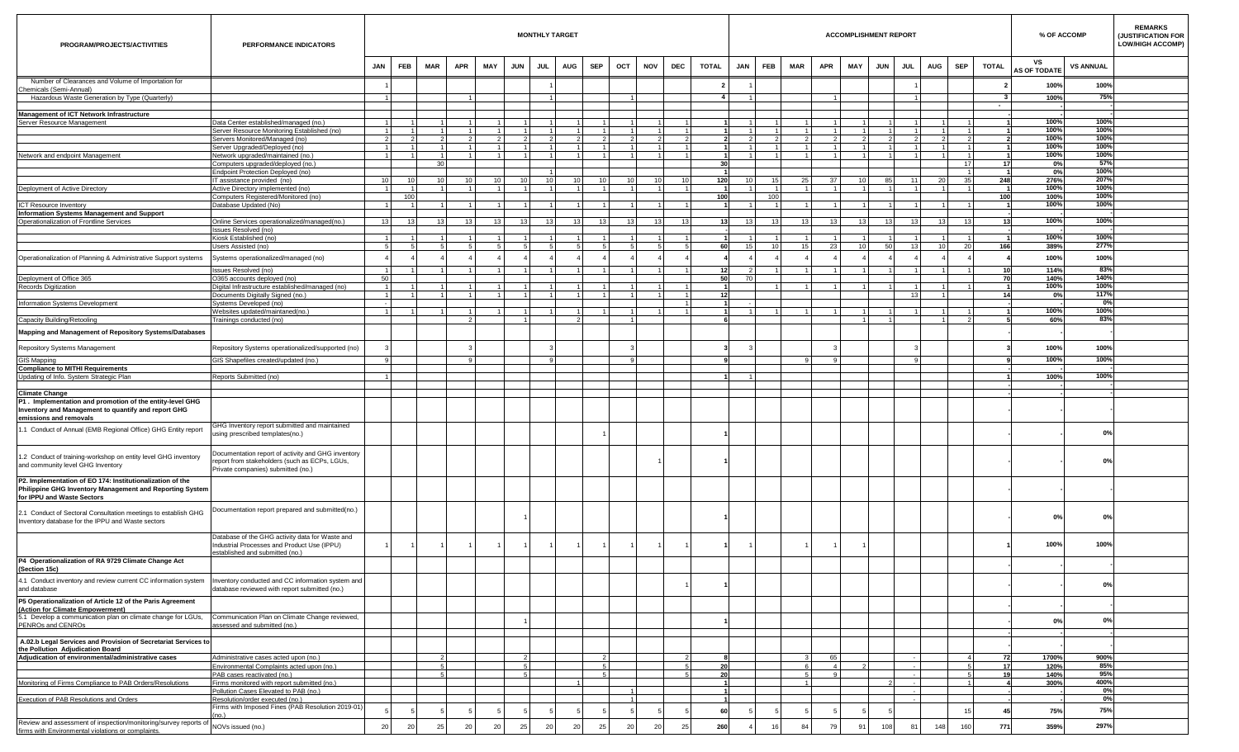| PROGRAM/PROJECTS/ACTIVITIES                                                                                                                                        | PERFORMANCE INDICATORS                                                                                                                  |                 |                  |            |                |     |                 |                | <b>MONTHLY TARGET</b> |            |                  |                 |     |                         |                 |                                 |                     |                 | <b>ACCOMPLISHMENT REPORT</b> |            |            |    |           |                |                                | % OF ACCOMP               |                  | <b>REMARKS</b><br>(JUSTIFICATION FOR<br><b>LOW/HIGH ACCOMP)</b> |
|--------------------------------------------------------------------------------------------------------------------------------------------------------------------|-----------------------------------------------------------------------------------------------------------------------------------------|-----------------|------------------|------------|----------------|-----|-----------------|----------------|-----------------------|------------|------------------|-----------------|-----|-------------------------|-----------------|---------------------------------|---------------------|-----------------|------------------------------|------------|------------|----|-----------|----------------|--------------------------------|---------------------------|------------------|-----------------------------------------------------------------|
|                                                                                                                                                                    |                                                                                                                                         | <b>JAN</b>      | <b>FEB</b>       | <b>MAR</b> | APR            | MAY | <b>JUN</b>      | <b>JUL</b>     | <b>AUG</b>            | <b>SEP</b> | OCT              | <b>NOV</b>      | DEC | <b>TOTAL</b>            | JAN             | <b>FEB</b>                      | MAR                 | APR             | MAY                          | <b>JUN</b> | <b>JUL</b> |    | AUG       | <b>SEP</b>     | <b>TOTAL</b>                   | vs<br><b>AS OF TODATE</b> | <b>VS ANNUAL</b> |                                                                 |
| Number of Clearances and Volume of Importation for                                                                                                                 |                                                                                                                                         |                 |                  |            |                |     |                 |                |                       |            |                  |                 |     | $\overline{\mathbf{2}}$ |                 |                                 |                     |                 |                              |            |            |    |           |                |                                | 100%                      | 100%             |                                                                 |
| Chemicals (Semi-Annual)<br>Hazardous Waste Generation by Type (Quarterly)                                                                                          |                                                                                                                                         |                 |                  |            | $\overline{1}$ |     |                 |                |                       |            |                  |                 |     | 4                       | $1 \vert$       |                                 |                     |                 |                              |            |            |    |           |                | 3 <sup>1</sup>                 | 100%                      | 75%              |                                                                 |
|                                                                                                                                                                    |                                                                                                                                         |                 |                  |            |                |     |                 |                |                       |            |                  |                 |     |                         |                 |                                 |                     |                 |                              |            |            |    |           |                | $\sim$                         |                           |                  |                                                                 |
| Management of ICT Network Infrastructure<br>Server Resource Management                                                                                             | lata Center established/managed (no.)                                                                                                   |                 |                  |            |                |     |                 |                |                       |            |                  |                 |     |                         |                 |                                 |                     |                 |                              |            |            |    |           |                |                                | 100%                      | 100%             |                                                                 |
|                                                                                                                                                                    | Server Resource Monitoring Established (no)                                                                                             |                 |                  |            | $\overline{1}$ |     |                 | $\overline{1}$ |                       |            |                  |                 |     |                         |                 | 1                               |                     | $\vert$ 1       |                              |            |            |    |           |                |                                | 100%                      | 100%             |                                                                 |
|                                                                                                                                                                    | Servers Monitored/Managed (no)<br>Server Upgraded/Deployed (no)                                                                         | $\overline{1}$  |                  |            | -11            |     |                 |                |                       |            |                  |                 |     |                         |                 | $\mathcal{P}$<br>$\overline{1}$ |                     | $\overline{1}$  |                              |            |            |    |           | $\overline{2}$ | $\overline{1}$                 | 100%<br>100%              | 100%<br>100%     |                                                                 |
| Network and endpoint Management                                                                                                                                    | <b>Network upgraded/maintained (no.)</b>                                                                                                |                 |                  |            | $\overline{1}$ |     |                 |                |                       |            |                  |                 |     | $\overline{1}$          |                 | 1                               |                     | $\mathbf{1}$    |                              |            |            |    |           |                |                                | 100%                      | 100%             |                                                                 |
|                                                                                                                                                                    | Computers upgraded/deployed (no.)                                                                                                       |                 |                  |            |                |     |                 |                |                       |            |                  |                 |     | 30                      |                 |                                 |                     |                 |                              |            |            |    |           | 17             | 17                             | 0%                        | 57%              |                                                                 |
|                                                                                                                                                                    | Endpoint Protection Deployed (no)<br>IT assistance provided (no)                                                                        | 10              | 10 <sup>1</sup>  |            | 10             | 10  | 10 <sup>1</sup> |                | 10 <sup>1</sup>       | 10         | 10               |                 | 10  | 120                     | 10 <sup>1</sup> | 15 <sup>1</sup>                 | 25                  | 37              | 10                           | 85         |            | 11 | 20        | 35             | 248                            | 0%<br>276%                | 100%<br>207%     |                                                                 |
| Deployment of Active Directory                                                                                                                                     | Active Directory implemented (no)                                                                                                       |                 |                  |            | $\overline{1}$ |     |                 |                |                       |            |                  |                 |     | -11                     |                 | $\vert$ 1                       |                     | $\mathbf{1}$    |                              |            |            |    |           |                | $\overline{1}$                 | 100%                      | 100%             |                                                                 |
| <b>ICT Resource Inventory</b>                                                                                                                                      | Computers Registered/Monitored (no)<br>Jatabase Updated (No)                                                                            |                 | 100              |            | $\overline{1}$ |     |                 |                |                       |            |                  |                 |     | 100                     |                 | 100<br>$\overline{1}$           |                     |                 |                              |            |            |    |           |                | 100<br>$\overline{\mathbf{1}}$ | 100%<br>100%              | 100%<br>100%     |                                                                 |
| <b>Information Systems Management and Support</b>                                                                                                                  |                                                                                                                                         |                 |                  |            |                |     |                 |                |                       |            |                  |                 |     |                         |                 |                                 |                     |                 |                              |            |            |    |           |                |                                |                           |                  |                                                                 |
| Operationalization of Frontline Services                                                                                                                           | Online Services operationalized/managed(no.)                                                                                            | 13 <sup>1</sup> | 13 <sup>13</sup> |            | 13             | 13  | 13 <sup>1</sup> |                | 13<br>13              | 13         | 13 <sup>13</sup> | 13 <sup>1</sup> |     | 13                      | 13 <sup>1</sup> | 13 <sup>1</sup>                 | 13 <sup>13</sup>    | 13 <sup>1</sup> | 13 <sup>1</sup>              | 13         |            | 13 | 13        | 13             | 13                             | 100%                      | 100%             |                                                                 |
|                                                                                                                                                                    | ssues Resolved (no)<br>Kiosk Established (no)                                                                                           |                 |                  |            | $\overline{1}$ |     |                 |                |                       |            |                  |                 |     |                         |                 |                                 |                     |                 |                              |            |            |    |           |                |                                | 100%                      | 100%             |                                                                 |
|                                                                                                                                                                    | Users Assisted (no)                                                                                                                     |                 |                  |            |                |     |                 |                |                       |            |                  |                 |     | 60                      | 15 <sup>1</sup> | 10 <sup>1</sup>                 | 15                  | 23              | 10                           | -50        |            | 13 | $10^{-1}$ | -20            | 166                            | 389%                      | 277%             |                                                                 |
| Operationalization of Planning & Administrative Support systems                                                                                                    | Systems operationalized/managed (no)                                                                                                    |                 |                  |            |                |     |                 |                |                       |            |                  |                 |     |                         |                 |                                 |                     |                 |                              |            |            |    |           |                |                                | 100%                      | 100%             |                                                                 |
|                                                                                                                                                                    | ssues Resolved (no)                                                                                                                     |                 |                  |            |                |     |                 |                |                       |            |                  |                 |     | 12                      |                 |                                 |                     |                 |                              |            |            |    |           |                | 10                             | 114%                      | 83%              |                                                                 |
| Deployment of Office 365                                                                                                                                           | 0365 accounts deployed (no)                                                                                                             | 50              |                  |            |                |     |                 |                |                       |            |                  |                 |     | 50                      | 70              |                                 |                     |                 |                              |            |            |    |           |                | 70                             | 140%                      | 140%             |                                                                 |
| Records Digitization                                                                                                                                               | Digital Infrastructure established/managed (no)<br>Oocuments Digitally Signed (no.)                                                     | $\overline{1}$  |                  |            | $\overline{1}$ |     |                 |                |                       |            |                  |                 |     | 12                      |                 |                                 |                     |                 |                              |            |            | 13 |           |                | 14                             | 100%<br>0%                | 100%<br>117%     |                                                                 |
| Information Systems Development                                                                                                                                    | Systems Developed (no)                                                                                                                  |                 |                  |            |                |     |                 |                |                       |            |                  |                 |     | $\overline{1}$          |                 |                                 |                     |                 |                              |            |            |    |           |                |                                |                           | 0%               |                                                                 |
|                                                                                                                                                                    | Vebsites updated/maintaned(no.)                                                                                                         |                 |                  |            | $\overline{1}$ |     |                 |                |                       |            |                  |                 |     |                         |                 |                                 |                     |                 |                              |            |            |    |           |                |                                | 100%                      | 100%             |                                                                 |
| Capacity Building/Retooling                                                                                                                                        | Frainings conducted (no)                                                                                                                |                 |                  |            | $\overline{2}$ |     |                 |                |                       |            |                  |                 |     |                         |                 |                                 |                     |                 |                              |            |            |    |           | $\overline{2}$ |                                | 60%                       | 83%              |                                                                 |
| Mapping and Management of Repository Systems/Databases                                                                                                             |                                                                                                                                         |                 |                  |            |                |     |                 |                |                       |            |                  |                 |     |                         |                 |                                 |                     |                 |                              |            |            |    |           |                |                                |                           |                  |                                                                 |
| Repository Systems Management                                                                                                                                      | Repository Systems operationalized/supported (no)                                                                                       |                 |                  |            |                |     |                 |                |                       |            |                  |                 |     |                         |                 |                                 |                     |                 |                              |            |            |    |           |                |                                | 100%                      | 100%             |                                                                 |
| <b>GIS Mapping</b>                                                                                                                                                 | IS Shapefiles created/updated (no.)                                                                                                     |                 |                  |            | $\mathbf{q}$   |     |                 |                |                       |            |                  |                 |     |                         |                 |                                 |                     |                 |                              |            |            |    |           |                |                                | 100%                      | 100%             |                                                                 |
| <b>Compliance to MITHI Requirements</b>                                                                                                                            |                                                                                                                                         |                 |                  |            |                |     |                 |                |                       |            |                  |                 |     |                         |                 |                                 |                     |                 |                              |            |            |    |           |                |                                |                           | 100%             |                                                                 |
| Updating of Info. System Strategic Plan                                                                                                                            | Reports Submitted (no)                                                                                                                  |                 |                  |            |                |     |                 |                |                       |            |                  |                 |     |                         |                 |                                 |                     |                 |                              |            |            |    |           |                |                                | 100%                      |                  |                                                                 |
| <b>Climate Change</b><br>P1. Implementation and promotion of the entity-level GHG<br>Inventory and Management to quantify and report GHG<br>emissions and removals |                                                                                                                                         |                 |                  |            |                |     |                 |                |                       |            |                  |                 |     |                         |                 |                                 |                     |                 |                              |            |            |    |           |                |                                |                           |                  |                                                                 |
| 1.1 Conduct of Annual (EMB Regional Office) GHG Entity report                                                                                                      | GHG Inventory report submitted and maintained<br>using prescribed templates(no.)                                                        |                 |                  |            |                |     |                 |                |                       |            |                  |                 |     |                         |                 |                                 |                     |                 |                              |            |            |    |           |                |                                |                           | 0%               |                                                                 |
| 1.2 Conduct of training-workshop on entity level GHG inventory<br>and community level GHG Inventory                                                                | Documentation report of activity and GHG inventory<br>eport from stakeholders (such as ECPs, LGUs,<br>rivate companies) submitted (no.) |                 |                  |            |                |     |                 |                |                       |            |                  |                 |     |                         |                 |                                 |                     |                 |                              |            |            |    |           |                |                                |                           | 0%               |                                                                 |
| P2. Implementation of EO 174: Institutionalization of the<br>Philippine GHG Inventory Management and Reporting System<br>for IPPU and Waste Sectors                |                                                                                                                                         |                 |                  |            |                |     |                 |                |                       |            |                  |                 |     |                         |                 |                                 |                     |                 |                              |            |            |    |           |                |                                |                           |                  |                                                                 |
| 2.1 Conduct of Sectoral Consultation meetings to establish GHG<br>Inventory database for the IPPU and Waste sectors                                                | Oocumentation report prepared and submitted(no.)                                                                                        |                 |                  |            |                |     |                 |                |                       |            |                  |                 |     |                         |                 |                                 |                     |                 |                              |            |            |    |           |                |                                | 0%                        | 0%               |                                                                 |
|                                                                                                                                                                    | Database of the GHG activity data for Waste and<br>Industrial Processes and Product Use (IPPU)<br>stablished and submitted (no.)        |                 | $\overline{1}$   |            |                |     | $\overline{1}$  |                |                       |            |                  |                 |     |                         |                 |                                 |                     |                 | $\mathbf{1}$                 |            |            |    |           |                |                                | 100%                      | 100%             |                                                                 |
| P4 Operationalization of RA 9729 Climate Change Act<br>(Section 15c)                                                                                               |                                                                                                                                         |                 |                  |            |                |     |                 |                |                       |            |                  |                 |     |                         |                 |                                 |                     |                 |                              |            |            |    |           |                |                                |                           |                  |                                                                 |
| 4.1 Conduct inventory and review current CC information system<br>and database                                                                                     | Inventory conducted and CC information system and<br>database reviewed with report submitted (no.)                                      |                 |                  |            |                |     |                 |                |                       |            |                  |                 |     |                         |                 |                                 |                     |                 |                              |            |            |    |           |                |                                |                           | 0%               |                                                                 |
| P5 Operationalization of Article 12 of the Paris Agreement<br>(Action for Climate Empowerment)                                                                     |                                                                                                                                         |                 |                  |            |                |     |                 |                |                       |            |                  |                 |     |                         |                 |                                 |                     |                 |                              |            |            |    |           |                |                                |                           |                  |                                                                 |
| 5.1 Develop a communication plan on climate change for LGUs,<br>PENROs and CENROs                                                                                  | Communication Plan on Climate Change reviewed,<br>assessed and submitted (no.)                                                          |                 |                  |            |                |     |                 |                |                       |            |                  |                 |     |                         |                 |                                 |                     |                 |                              |            |            |    |           |                |                                | 0%                        | 0%               |                                                                 |
| A.02.b Legal Services and Provision of Secretariat Services to                                                                                                     |                                                                                                                                         |                 |                  |            |                |     |                 |                |                       |            |                  |                 |     |                         |                 |                                 |                     |                 |                              |            |            |    |           |                |                                |                           |                  |                                                                 |
| the Pollution Adjudication Board<br>Adjudication of environmental/administrative cases                                                                             | Administrative cases acted upon (no.)                                                                                                   |                 |                  |            |                |     |                 |                |                       |            |                  |                 |     |                         |                 |                                 |                     | 65              |                              |            |            |    |           | $\overline{4}$ | 72                             | 1700%                     | 900%             |                                                                 |
|                                                                                                                                                                    | Environmental Complaints acted upon (no.)                                                                                               |                 |                  |            |                |     |                 |                |                       |            |                  |                 |     | 20                      |                 |                                 |                     | $\overline{4}$  |                              |            |            |    |           | -5             | 17                             | 120%                      | 85%              |                                                                 |
| Monitoring of Firms Compliance to PAB Orders/Resolutions                                                                                                           | PAB cases reactivated (no.)<br>Firms monitored with report submitted (no.)                                                              |                 |                  |            |                |     |                 | 5 <sub>1</sub> |                       | - 5        |                  |                 |     | 20<br>$\overline{1}$    |                 |                                 | 5<br>$\overline{1}$ | -9              |                              |            |            |    |           | -51            | 19                             | 140%<br>300%              | 95%<br>400%      |                                                                 |
|                                                                                                                                                                    | Pollution Cases Elevated to PAB (no.)                                                                                                   |                 |                  |            |                |     |                 |                |                       |            |                  |                 |     |                         |                 |                                 |                     |                 |                              |            |            |    |           |                |                                |                           | $0\%$            |                                                                 |
| Execution of PAB Resolutions and Orders                                                                                                                            | Resolution/order executed (no.)                                                                                                         |                 |                  |            |                |     |                 |                |                       |            |                  |                 |     |                         |                 |                                 |                     |                 |                              |            |            |    |           |                |                                |                           | 0%               |                                                                 |
|                                                                                                                                                                    | irms with Imposed Fines (PAB Resolution 2019-01)<br>nn 1                                                                                |                 |                  |            |                |     |                 |                |                       |            |                  |                 |     | 60                      |                 |                                 |                     |                 |                              |            |            |    |           | 15             | 45                             | 75%                       | 75%              |                                                                 |
| Review and assessment of inspection/monitoring/survey reports of<br>firms with Environmental violations or complaints.                                             | NOVs issued (no.)                                                                                                                       | 20              | 20               | 25         | 20             | 20  | 25              | 20             | 20                    | 25         | 20               | 20              | 25  | 260                     |                 | 16                              | 84                  | 79              | 91                           | 108        |            | 81 | 148       | 160            | 771                            | 359%                      | 297%             |                                                                 |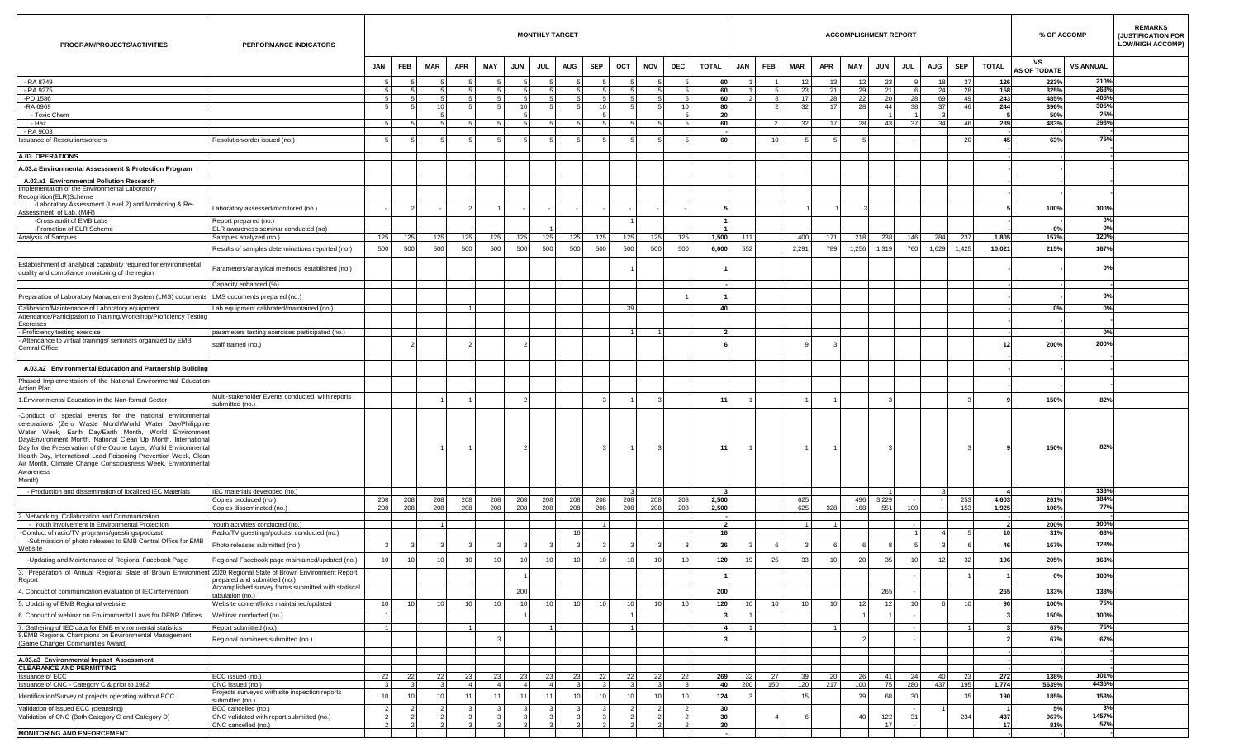| PROGRAM/PROJECTS/ACTIVITIES                                                                                                                                                                                                                                                                                                                                                                                                                                                  | PERFORMANCE INDICATORS                                                             |                 |                 |            |            |                      |                      | <b>MONTHLY TARGET</b> |            |                 |     |                 |     |                |                |                        |                |                 | <b>ACCOMPLISHMENT REPORT</b> |              |              |            |             |                 | % OF ACCOMP               |                  | <b>REMARKS</b><br>(JUSTIFICATION FOR<br><b>LOW/HIGH ACCOMP)</b> |
|------------------------------------------------------------------------------------------------------------------------------------------------------------------------------------------------------------------------------------------------------------------------------------------------------------------------------------------------------------------------------------------------------------------------------------------------------------------------------|------------------------------------------------------------------------------------|-----------------|-----------------|------------|------------|----------------------|----------------------|-----------------------|------------|-----------------|-----|-----------------|-----|----------------|----------------|------------------------|----------------|-----------------|------------------------------|--------------|--------------|------------|-------------|-----------------|---------------------------|------------------|-----------------------------------------------------------------|
|                                                                                                                                                                                                                                                                                                                                                                                                                                                                              |                                                                                    | <b>JAN</b>      | FEB             | <b>MAR</b> | <b>APR</b> | MAY                  | <b>JUN</b>           | <b>JUL</b>            | <b>AUG</b> | <b>SEP</b>      | OCT | <b>NOV</b>      | DEC | <b>TOTAL</b>   | <b>JAN</b>     | FEB                    | <b>MAR</b>     | <b>APR</b>      | MAY                          | <b>JUN</b>   | <b>JUL</b>   | AUG        | <b>SEP</b>  | <b>TOTAL</b>    | vs<br><b>AS OF TODATE</b> | <b>VS ANNUAL</b> |                                                                 |
| - RA 8749                                                                                                                                                                                                                                                                                                                                                                                                                                                                    |                                                                                    | 5               | -5              |            |            | -5                   | -5                   | -51                   |            | 5 <sup>1</sup>  | -5  | 5 <sub>1</sub>  |     | 60             | $\overline{1}$ |                        | 12             | 13 <sup>1</sup> | 12 <sub>1</sub>              | 23           | $\mathbf{q}$ | 18         | 37 I        | 126             | 223%                      | 210%             |                                                                 |
| - RA 9275<br>-PD 1586                                                                                                                                                                                                                                                                                                                                                                                                                                                        |                                                                                    | 5 <sup>1</sup>  |                 |            |            |                      |                      |                       |            |                 |     |                 |     | 60<br>60       |                | 5                      | 23<br>17       | 21<br>28        | 29<br>22                     | 21<br>20     | 28           | 24<br>69   | 28<br>49    | 158<br>243      | 325%<br>485%              | 263%<br>405%     |                                                                 |
| -RA 6969                                                                                                                                                                                                                                                                                                                                                                                                                                                                     |                                                                                    | -5              |                 | 10         |            |                      | 10                   |                       |            | 10 <sup>1</sup> |     |                 | 10  | 80             |                | $\mathcal{P}$          | 32             | 17 <sup>1</sup> | 28                           | 44           | 38           | 37         | 46          | 244             | 396%                      | 305%             |                                                                 |
| - Toxic Chem                                                                                                                                                                                                                                                                                                                                                                                                                                                                 |                                                                                    |                 |                 |            |            |                      |                      |                       |            |                 |     |                 |     | 20             |                |                        |                |                 |                              |              |              |            |             |                 | 50%                       | 25%              |                                                                 |
| - Haz                                                                                                                                                                                                                                                                                                                                                                                                                                                                        |                                                                                    | $\sqrt{2}$      |                 |            |            |                      |                      |                       |            |                 |     |                 |     | 60             |                | $\overline{2}$         |                | 17 <sup>1</sup> | 28                           | 43           | 37           |            | 46          | 239             | 483%                      | 398%             |                                                                 |
| - RA 9003<br><b>Issuance of Resolutions/orders</b>                                                                                                                                                                                                                                                                                                                                                                                                                           | Resolution/order issued (no.)                                                      | 5 <sup>1</sup>  |                 |            |            |                      |                      |                       |            |                 |     |                 |     | -60            |                | 10 <sup>1</sup>        |                | 5               |                              |              |              |            | - 20        | 45              | 63%                       | 75%              |                                                                 |
|                                                                                                                                                                                                                                                                                                                                                                                                                                                                              |                                                                                    |                 |                 |            |            |                      |                      |                       |            |                 |     |                 |     |                |                |                        |                |                 |                              |              |              |            |             |                 |                           |                  |                                                                 |
| <b>A.03 OPERATIONS</b>                                                                                                                                                                                                                                                                                                                                                                                                                                                       |                                                                                    |                 |                 |            |            |                      |                      |                       |            |                 |     |                 |     |                |                |                        |                |                 |                              |              |              |            |             |                 |                           |                  |                                                                 |
| A.03.a Environmental Assessment & Protection Program                                                                                                                                                                                                                                                                                                                                                                                                                         |                                                                                    |                 |                 |            |            |                      |                      |                       |            |                 |     |                 |     |                |                |                        |                |                 |                              |              |              |            |             |                 |                           |                  |                                                                 |
| A.03.a1 Environmental Pollution Research                                                                                                                                                                                                                                                                                                                                                                                                                                     |                                                                                    |                 |                 |            |            |                      |                      |                       |            |                 |     |                 |     |                |                |                        |                |                 |                              |              |              |            |             |                 |                           |                  |                                                                 |
| Implementation of the Environmental Laboratory                                                                                                                                                                                                                                                                                                                                                                                                                               |                                                                                    |                 |                 |            |            |                      |                      |                       |            |                 |     |                 |     |                |                |                        |                |                 |                              |              |              |            |             |                 |                           |                  |                                                                 |
| Recognition(ELR)Scheme<br>-Laboratory Assessment (Level 2) and Monitoring & Re-                                                                                                                                                                                                                                                                                                                                                                                              |                                                                                    |                 |                 |            |            |                      |                      |                       |            |                 |     |                 |     |                |                |                        |                |                 |                              |              |              |            |             |                 |                           |                  |                                                                 |
| Assessment of Lab. (M/R)                                                                                                                                                                                                                                                                                                                                                                                                                                                     | Laboratory assessed/monitored (no.)                                                |                 | $\overline{2}$  |            |            |                      |                      |                       |            |                 |     |                 |     |                |                |                        |                |                 |                              |              |              |            |             |                 | 100%                      | 100%             |                                                                 |
| -Cross audit of EMB Labs                                                                                                                                                                                                                                                                                                                                                                                                                                                     | Report prepared (no.)                                                              |                 |                 |            |            |                      |                      |                       |            |                 |     |                 |     |                |                |                        |                |                 |                              |              |              |            |             |                 |                           | 0%               |                                                                 |
| -Promotion of ELR Scheme<br>Analysis of Samples                                                                                                                                                                                                                                                                                                                                                                                                                              | ELR awareness seminar conducted (no)<br>Samples analyzed (no.)                     | 125             | 125             | 125        | 125        | 125                  | 125                  | 125                   | 125        | 125             | 125 | 125             | 125 | 1,500          | 111            |                        | 400            | 171             | 218                          | 238          | 146          | 284        | 237         | 1,805           | 0%<br>157%                | 0%<br>120%       |                                                                 |
|                                                                                                                                                                                                                                                                                                                                                                                                                                                                              |                                                                                    | 500             | 500             | 500        | 500        | 500                  | 500                  | 500                   | 500        | 500             | 500 | 500             | 500 | 6,000          | 552            |                        | 2,291          | 789             | 1,256                        | 1,319        | 760          | 1,629      | 1,425       | 10,021          | 215%                      | 167%             |                                                                 |
|                                                                                                                                                                                                                                                                                                                                                                                                                                                                              | Results of samples determinations reported (no.)                                   |                 |                 |            |            |                      |                      |                       |            |                 |     |                 |     |                |                |                        |                |                 |                              |              |              |            |             |                 |                           |                  |                                                                 |
| Establishment of analytical capability required for environmental<br>quality and compliance monitoring of the region                                                                                                                                                                                                                                                                                                                                                         | Parameters/analytical methods established (no.)                                    |                 |                 |            |            |                      |                      |                       |            |                 |     |                 |     |                |                |                        |                |                 |                              |              |              |            |             |                 |                           | 0%               |                                                                 |
|                                                                                                                                                                                                                                                                                                                                                                                                                                                                              | Capacity enhanced (%)                                                              |                 |                 |            |            |                      |                      |                       |            |                 |     |                 |     |                |                |                        |                |                 |                              |              |              |            |             |                 |                           |                  |                                                                 |
| Preparation of Laboratory Management System (LMS) documents                                                                                                                                                                                                                                                                                                                                                                                                                  | LMS documents prepared (no.)                                                       |                 |                 |            |            |                      |                      |                       |            |                 |     |                 |     |                |                |                        |                |                 |                              |              |              |            |             |                 |                           | 0%               |                                                                 |
| Calibration/Maintenance of Laboratory equipment<br>Attendance/Participation to Training/Workshop/Proficiency Testing                                                                                                                                                                                                                                                                                                                                                         | Lab equipment calibrated/maintained (no.)                                          |                 |                 |            |            |                      |                      |                       |            |                 | 39  |                 |     | 40             |                |                        |                |                 |                              |              |              |            |             |                 | 0%                        | 0%               |                                                                 |
| Exercises                                                                                                                                                                                                                                                                                                                                                                                                                                                                    |                                                                                    |                 |                 |            |            |                      |                      |                       |            |                 |     |                 |     |                |                |                        |                |                 |                              |              |              |            |             |                 |                           |                  |                                                                 |
| - Proficiency testing exercise<br>- Attendance to virtual trainings/ seminars organized by EMB                                                                                                                                                                                                                                                                                                                                                                               | parameters testing exercises participated (no.)                                    |                 |                 |            |            |                      |                      |                       |            |                 |     |                 |     |                |                |                        |                |                 |                              |              |              |            |             |                 |                           | 0%               |                                                                 |
| Central Office                                                                                                                                                                                                                                                                                                                                                                                                                                                               | staff trained (no.)                                                                |                 |                 |            |            |                      |                      |                       |            |                 |     |                 |     |                |                |                        |                |                 |                              |              |              |            |             |                 | 200%                      | 200%             |                                                                 |
|                                                                                                                                                                                                                                                                                                                                                                                                                                                                              |                                                                                    |                 |                 |            |            |                      |                      |                       |            |                 |     |                 |     |                |                |                        |                |                 |                              |              |              |            |             |                 |                           |                  |                                                                 |
| A.03.a2 Environmental Education and Partnership Building                                                                                                                                                                                                                                                                                                                                                                                                                     |                                                                                    |                 |                 |            |            |                      |                      |                       |            |                 |     |                 |     |                |                |                        |                |                 |                              |              |              |            |             |                 |                           |                  |                                                                 |
| Phased Implementation of the National Environmental Education<br>Action Plan                                                                                                                                                                                                                                                                                                                                                                                                 |                                                                                    |                 |                 |            |            |                      |                      |                       |            |                 |     |                 |     |                |                |                        |                |                 |                              |              |              |            |             |                 |                           |                  |                                                                 |
| 1. Environmental Education in the Non-formal Sector                                                                                                                                                                                                                                                                                                                                                                                                                          | Multi-stakeholder Events conducted with reports<br>submitted (no.)                 |                 |                 |            |            |                      |                      |                       |            |                 |     |                 |     | 11             |                |                        |                |                 |                              |              |              |            |             |                 | 150%                      | 82%              |                                                                 |
| -Conduct of special events for the national environmental<br>celebrations (Zero Waste Month/World Water Day/Philippine<br>Water Week, Earth Day/Earth Month, World Environment<br>Day/Environment Month, National Clean Up Month, International<br>Day for the Preservation of the Ozone Layer, World Environmental<br>Health Day, International Lead Poisoning Prevention Week, Clean<br>Air Month, Climate Change Consciousness Week, Environmental<br>Awareness<br>Month) |                                                                                    |                 |                 |            |            |                      |                      |                       |            |                 |     |                 |     | 11             |                |                        |                |                 |                              |              |              |            |             |                 | 150%                      | 82%              |                                                                 |
| - Production and dissemination of localized IEC Materials                                                                                                                                                                                                                                                                                                                                                                                                                    | IEC materials developed (no.)                                                      | 208             |                 | 208        | 208        | 208                  | 208                  | 208                   | 208        | 208             | 208 | 208             | 208 |                |                |                        | 625            |                 | 496                          |              |              |            |             | 4,603           | 261%                      | 133%<br>184%     |                                                                 |
|                                                                                                                                                                                                                                                                                                                                                                                                                                                                              | Copies produced (no.)<br>Copies disseminated (no.)                                 | 208             | 208<br>208      | 208        | 208        | 208                  | 208                  | 208                   | 208        | 208             | 208 | 208             | 208 | 2,500<br>2,500 |                |                        | 625            | 328             | 168                          | 3,229<br>551 | 100          |            | 253<br>153  | 1,925           | 106%                      | 77%              |                                                                 |
| 2. Networking, Collaboration and Communication                                                                                                                                                                                                                                                                                                                                                                                                                               |                                                                                    |                 |                 |            |            |                      |                      |                       |            |                 |     |                 |     |                |                |                        |                |                 |                              |              |              |            |             |                 |                           |                  |                                                                 |
| - Youth involvement in Environmental Protection                                                                                                                                                                                                                                                                                                                                                                                                                              | Youth activities conducted (no.)                                                   |                 |                 |            |            |                      |                      |                       | 16         |                 |     |                 |     | 16             |                |                        |                |                 |                              |              |              |            |             | 10 <sup>1</sup> | 200%<br>31%               | 100%<br>63%      |                                                                 |
| -Conduct of radio/TV programs/guestings/podcast<br>-Submission of photo releases to EMB Central Office for EMB                                                                                                                                                                                                                                                                                                                                                               | Radio/TV guestings/podcast conducted (no.)<br>Photo releases submitted (no.)       |                 |                 |            |            |                      |                      |                       |            |                 |     |                 |     |                |                |                        |                |                 |                              |              |              |            |             |                 | 167%                      | 128%             |                                                                 |
| Website<br>-Updating and Maintenance of Regional Facebook Page                                                                                                                                                                                                                                                                                                                                                                                                               | Regional Facebook page maintained/updated (no.)                                    | 10 <sup>1</sup> | 10              | 10         | 10         | 10                   | 10                   | 10                    | 10         | 10              | 10  | 10              | 10  | 120            | 19             | 25                     | 33             | 10              | 20                           | 35           | 10           | 12         | 32          | 196             | 205%                      | 163%             |                                                                 |
| 3. Preparation of Annual Regional State of Brown Environment 2020 Regional State of Brown Environment Report                                                                                                                                                                                                                                                                                                                                                                 |                                                                                    |                 |                 |            |            |                      |                      |                       |            |                 |     |                 |     |                |                |                        |                |                 |                              |              |              |            |             |                 | 0%                        | 100%             |                                                                 |
| Report<br>4. Conduct of communication evaluation of IEC intervention                                                                                                                                                                                                                                                                                                                                                                                                         | prepared and submitted (no.)<br>Accomplished survey forms submitted with statiscal |                 |                 |            |            |                      | 200                  |                       |            |                 |     |                 |     | 200            |                |                        |                |                 |                              | 265          |              |            |             | 265             | 133%                      | 133%             |                                                                 |
| 5. Updating of EMB Regional website                                                                                                                                                                                                                                                                                                                                                                                                                                          | abulation (no.)<br>Website content/links maintained/updated                        | 10 <sup>1</sup> | 10 <sup>1</sup> |            |            | 10                   | $10^{-1}$            | 10 <sup>1</sup>       | 10         | 10 <sup>1</sup> | 10  | 10 <sup>1</sup> |     | 120            | 10             | 10 <sup>1</sup>        | 10             | 10              | 12                           | 12           |              |            |             | 90              | 100%                      | 75%              |                                                                 |
|                                                                                                                                                                                                                                                                                                                                                                                                                                                                              |                                                                                    |                 |                 |            |            |                      |                      |                       |            |                 |     |                 |     |                |                |                        |                |                 |                              |              |              |            |             |                 |                           | 100%             |                                                                 |
| 6. Conduct of webinar on Environmental Laws for DENR Offices                                                                                                                                                                                                                                                                                                                                                                                                                 | Webinar conducted (no.)                                                            |                 |                 |            |            |                      |                      |                       |            |                 |     |                 |     |                |                |                        |                |                 |                              |              |              |            |             |                 | 150%                      |                  |                                                                 |
| 7. Gathering of IEC data for EMB environmental statistics<br>8.EMB Regional Champions on Environmental Management                                                                                                                                                                                                                                                                                                                                                            | Report submitted (no.)                                                             |                 |                 |            |            |                      |                      |                       |            |                 |     |                 |     |                |                |                        |                |                 |                              |              |              |            |             |                 | 67%                       | 75%              |                                                                 |
| (Game Changer Communities Award)                                                                                                                                                                                                                                                                                                                                                                                                                                             | Regional nominees submitted (no.)                                                  |                 |                 |            |            |                      |                      |                       |            |                 |     |                 |     |                |                |                        |                |                 |                              |              |              |            |             |                 | 67%                       | 67%              |                                                                 |
| A.03.a3 Environmental Impact Assessment                                                                                                                                                                                                                                                                                                                                                                                                                                      |                                                                                    |                 |                 |            |            |                      |                      |                       |            |                 |     |                 |     |                |                |                        |                |                 |                              |              |              |            |             |                 |                           |                  |                                                                 |
| <b>CLEARANCE AND PERMITTING</b>                                                                                                                                                                                                                                                                                                                                                                                                                                              |                                                                                    |                 |                 |            |            |                      |                      |                       |            |                 |     |                 |     |                |                |                        |                |                 |                              |              |              |            |             |                 |                           |                  |                                                                 |
| <b>Issuance of ECC</b><br>Issuance of CNC - Category C & prior to 1982                                                                                                                                                                                                                                                                                                                                                                                                       | ECC issued (no.)<br>CNC issued (no.)                                               | 22              | 22              |            |            | 23<br>$\overline{4}$ | 23<br>$\overline{a}$ | $\overline{a}$        |            | 22              | 22  |                 | -22 | 269<br>40      | 32<br>200      | 27 <sup>1</sup><br>150 | 120            | 20<br>217       | 100                          | - 41<br>75   | 24<br>280    | -40<br>437 | - 23<br>195 | 272<br>1,774    | 138%<br>5639%             | 101%<br>4435%    |                                                                 |
|                                                                                                                                                                                                                                                                                                                                                                                                                                                                              | Projects surveyed with site inspection reports                                     | 10              | 10              |            | 11         | 11                   |                      |                       | 10         | 10 <sup>1</sup> | 10  |                 |     | 124            |                |                        | 1 <sup>F</sup> |                 | 39                           | 68           | 30           |            | 35          | 190             | 185%                      | 153%             |                                                                 |
| Identification/Survey of projects operating without ECC<br>Validation of issued ECC (cleansing)                                                                                                                                                                                                                                                                                                                                                                              | submitted (no.)                                                                    | $\mathcal{P}$   | $\mathcal{P}$   |            |            |                      |                      |                       |            |                 |     |                 |     |                |                |                        |                |                 |                              |              |              |            |             |                 |                           |                  |                                                                 |
| Validation of CNC (Both Category C and Category D)                                                                                                                                                                                                                                                                                                                                                                                                                           | ECC cancelled (no.)<br>CNC validated with report submitted (no.)                   | 2               |                 |            |            |                      |                      |                       |            |                 |     |                 |     | 30             |                |                        |                |                 | 40 <sup>°</sup>              | 122          |              |            | 234         | 437             | 5%<br>967%                | 3%<br>1457%      |                                                                 |
|                                                                                                                                                                                                                                                                                                                                                                                                                                                                              | CNC cancelled (no.)                                                                | $\mathcal{P}$   | $\mathcal{P}$   |            |            |                      |                      |                       |            |                 |     |                 |     |                |                |                        |                |                 |                              | 17           |              |            |             | 17              | 81%                       | 57%              |                                                                 |
| <b>MONITORING AND ENFORCEMENT</b>                                                                                                                                                                                                                                                                                                                                                                                                                                            |                                                                                    |                 |                 |            |            |                      |                      |                       |            |                 |     |                 |     |                |                |                        |                |                 |                              |              |              |            |             |                 |                           |                  |                                                                 |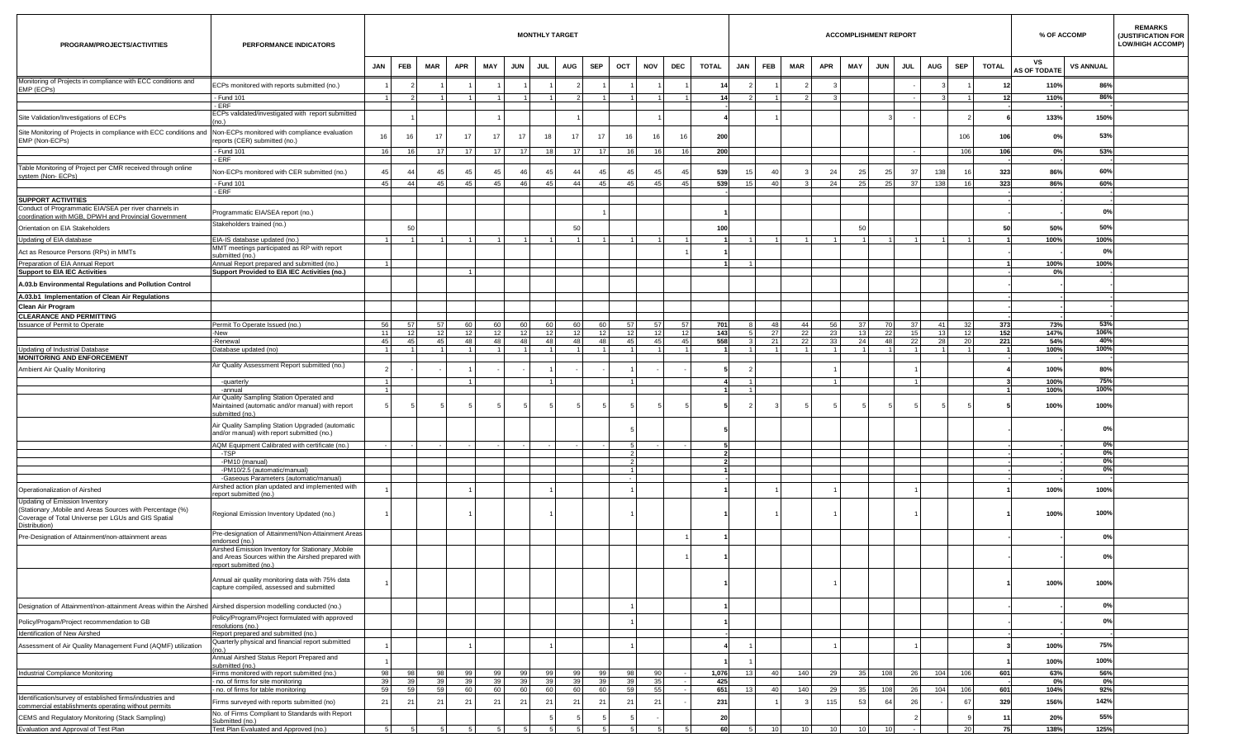| PROGRAM/PROJECTS/ACTIVITIES                                                                                                       | PERFORMANCE INDICATORS                                                                                                           |                       |            |            |              |                 |            | <b>MONTHLY TARGET</b> |                       |             |          |                |            |              |            |                 |                 |                 | <b>ACCOMPLISHMENT REPORT</b> |                 |            |            |            |              | % OF ACCOMP               |                  | <b>REMARKS</b><br>(JUSTIFICATION FOR<br><b>LOW/HIGH ACCOMP)</b> |
|-----------------------------------------------------------------------------------------------------------------------------------|----------------------------------------------------------------------------------------------------------------------------------|-----------------------|------------|------------|--------------|-----------------|------------|-----------------------|-----------------------|-------------|----------|----------------|------------|--------------|------------|-----------------|-----------------|-----------------|------------------------------|-----------------|------------|------------|------------|--------------|---------------------------|------------------|-----------------------------------------------------------------|
|                                                                                                                                   |                                                                                                                                  | <b>JAN</b>            | <b>FEB</b> | <b>MAR</b> | <b>APR</b>   | MAY             | <b>JUN</b> | <b>JUL</b>            | <b>AUG</b>            | <b>SEP</b>  | OCT      | <b>NOV</b>     | <b>DEC</b> | <b>TOTAL</b> | <b>JAN</b> | <b>FEB</b>      | MAR             | <b>APR</b>      | MAY                          | <b>JUN</b>      | <b>JUL</b> | <b>AUG</b> | <b>SEP</b> | <b>TOTAL</b> | VS<br><b>AS OF TODATE</b> | <b>VS ANNUAL</b> |                                                                 |
| Monitoring of Projects in compliance with ECC conditions and<br>EMP (ECPs)                                                        | ECPs monitored with reports submitted (no.)                                                                                      |                       |            |            |              |                 |            |                       |                       |             |          |                |            | 14           |            |                 |                 |                 |                              |                 |            |            |            |              | 110%                      | 86%              |                                                                 |
|                                                                                                                                   | - Fund 101                                                                                                                       |                       |            |            |              |                 |            |                       |                       |             |          |                |            | 14           |            |                 |                 |                 |                              |                 |            |            |            | 12           | 110%                      | 86%              |                                                                 |
|                                                                                                                                   | - ERF<br>ECPs validated/investigated with report submitted                                                                       |                       |            |            |              |                 |            |                       |                       |             |          |                |            |              |            |                 |                 |                 |                              |                 |            |            |            |              |                           |                  |                                                                 |
| Site Validation/Investigations of ECPs                                                                                            |                                                                                                                                  |                       |            |            |              |                 |            |                       |                       |             |          |                |            |              |            |                 |                 |                 |                              |                 |            |            |            |              | 133%                      | 150%             |                                                                 |
| Site Monitoring of Projects in compliance with ECC conditions and Non-ECPs monitored with compliance evaluation<br>EMP (Non-ECPs) | reports (CER) submitted (no.)                                                                                                    | 16                    | 16         |            | 17           | 17              | 17         | 18                    | 17                    | -17         | 16       |                | 16         | 200          |            |                 |                 |                 |                              |                 |            |            | 106        | 106          | 0%                        | 53%              |                                                                 |
|                                                                                                                                   | - Fund 101<br><b>ERF</b>                                                                                                         | 16                    | 16         | 17         | 17           | 17 <sup>1</sup> | 17         | 18                    | 17                    |             |          |                | 16         | 200          |            |                 |                 |                 |                              |                 |            |            | 106        | 106          | 0%                        | 53%              |                                                                 |
| Table Monitoring of Project per CMR received through online<br>system (Non-ECPs)                                                  | Non-ECPs monitored with CER submitted (no.)                                                                                      | 45                    | 44         |            | $\mathbf{A}$ | 45              | $\Delta$   |                       | 44                    |             | 45       |                | 45         | 539          |            | 40              |                 | 24              | 25                           | 25              | 37         | 138        | 16         | 323          | 86%                       | 60%              |                                                                 |
|                                                                                                                                   | - Fund 101                                                                                                                       | 45 <sup>1</sup>       | 44         | 45         | - 45         | 45              | 46         | 45                    | 44                    | 45          | 45       | 45             | 45         | 539          | 15         | 40              |                 | 24              | 25 <sup>1</sup>              | 25              | 37         | 138        | 16         | 323          | 86%                       | 60%              |                                                                 |
| <b>SUPPORT ACTIVITIES</b>                                                                                                         | $-ERF$                                                                                                                           |                       |            |            |              |                 |            |                       |                       |             |          |                |            |              |            |                 |                 |                 |                              |                 |            |            |            |              |                           |                  |                                                                 |
| Conduct of Programmatic EIA/SEA per river channels in                                                                             | Programmatic EIA/SEA report (no.)                                                                                                |                       |            |            |              |                 |            |                       |                       |             |          |                |            |              |            |                 |                 |                 |                              |                 |            |            |            |              |                           | 0%               |                                                                 |
| coordination with MGB, DPWH and Provincial Government                                                                             | Stakeholders trained (no.)                                                                                                       |                       | 50         |            |              |                 |            |                       | -50                   |             |          |                |            | 100          |            |                 |                 |                 | 50                           |                 |            |            |            |              | 50%                       | 50%              |                                                                 |
| Orientation on EIA Stakeholders<br>Updating of EIA database                                                                       | EIA-IS database updated (no.)                                                                                                    |                       |            |            |              |                 |            |                       |                       |             |          |                |            |              |            |                 |                 |                 | $\overline{1}$               |                 |            |            |            |              | 100%                      | 100%             |                                                                 |
| Act as Resource Persons (RPs) in MMTs                                                                                             | MMT meetings participated as RP with report                                                                                      |                       |            |            |              |                 |            |                       |                       |             |          |                |            |              |            |                 |                 |                 |                              |                 |            |            |            |              |                           | 0%               |                                                                 |
| Preparation of EIA Annual Report                                                                                                  | ubmitted (no.)<br>Annual Report prepared and submitted (no.)                                                                     |                       |            |            |              |                 |            |                       |                       |             |          |                |            |              |            |                 |                 |                 |                              |                 |            |            |            |              | 100%                      | 100%             |                                                                 |
| <b>Support to EIA IEC Activities</b>                                                                                              | Support Provided to EIA IEC Activities (no.)                                                                                     |                       |            |            |              |                 |            |                       |                       |             |          |                |            |              |            |                 |                 |                 |                              |                 |            |            |            |              | 0%                        |                  |                                                                 |
| A.03.b Environmental Regulations and Pollution Control                                                                            |                                                                                                                                  |                       |            |            |              |                 |            |                       |                       |             |          |                |            |              |            |                 |                 |                 |                              |                 |            |            |            |              |                           |                  |                                                                 |
| A.03.b1 Implementation of Clean Air Regulations                                                                                   |                                                                                                                                  |                       |            |            |              |                 |            |                       |                       |             |          |                |            |              |            |                 |                 |                 |                              |                 |            |            |            |              |                           |                  |                                                                 |
| Clean Air Program                                                                                                                 |                                                                                                                                  |                       |            |            |              |                 |            |                       |                       |             |          |                |            |              |            |                 |                 |                 |                              |                 |            |            |            |              |                           |                  |                                                                 |
| <b>CLEARANCE AND PERMITTING</b><br>Issuance of Permit to Operate                                                                  | Permit To Operate Issued (no.)                                                                                                   | 56                    | 57         | 57         | 60           | 60              | 60         | ഹ                     | 60                    | 6ſ          | 57       |                | 57         | 701          |            | 48              | 44              | 56              | 37 <sup>1</sup>              | 70              | 37         | 41         | 32         | 373          | 73%                       | 53%              |                                                                 |
|                                                                                                                                   | -New                                                                                                                             | 11                    | 12         | 12         | 12           | 12              | 12         | 12                    | 12                    |             | 12       |                | 12         | 143          |            | 27              | 22              | 23              | 13                           | 22              | 15         | 13         | 12         | 152          | 147%                      | 106%             |                                                                 |
| Updating of Industrial Database                                                                                                   | -Renewal<br>Database updated (no)                                                                                                | 45                    | 45         | 45         | 48           | 48              | 48         | 48                    | 48                    | 48          | 45       | 4 <sup>t</sup> | 45         | 558          |            | 21              | 22              | 33              | 24<br>$\overline{1}$         | 48              | 22         | 28         | 20         | 221          | 54%<br>100%               | 40%<br>100%      |                                                                 |
| <b>MONITORING AND ENFORCEMENT</b>                                                                                                 |                                                                                                                                  |                       |            |            |              |                 |            |                       |                       |             |          |                |            |              |            |                 |                 |                 |                              |                 |            |            |            |              |                           |                  |                                                                 |
| Ambient Air Quality Monitoring                                                                                                    | Air Quality Assessment Report submitted (no.)                                                                                    |                       |            |            |              |                 |            |                       |                       |             |          |                |            |              |            |                 |                 |                 |                              |                 |            |            |            |              | 100%                      | 80%              |                                                                 |
|                                                                                                                                   | -quarterly                                                                                                                       | $\mathbf{1}$          |            |            |              |                 |            |                       |                       |             |          |                |            |              |            |                 |                 |                 |                              |                 |            |            |            |              | 100%                      | 75%              |                                                                 |
|                                                                                                                                   | -annual<br>Air Quality Sampling Station Operated and<br>Maintained (automatic and/or manual) with report                         |                       |            |            |              |                 |            |                       |                       |             |          |                |            |              |            |                 |                 |                 |                              |                 |            |            |            |              | 100%<br>100%              | 100%<br>100%     |                                                                 |
|                                                                                                                                   | ubmitted (no.)<br>Air Quality Sampling Station Upgraded (automatic                                                               |                       |            |            |              |                 |            |                       |                       |             |          |                |            |              |            |                 |                 |                 |                              |                 |            |            |            |              |                           | 0%               |                                                                 |
|                                                                                                                                   | and/or manual) with report submitted (no.)                                                                                       |                       |            |            |              |                 |            |                       |                       |             |          |                |            |              |            |                 |                 |                 |                              |                 |            |            |            |              |                           |                  |                                                                 |
|                                                                                                                                   | AQM Equipment Calibrated with certificate (no.)<br>-TSP                                                                          |                       |            |            |              |                 |            |                       |                       |             |          |                |            |              |            |                 |                 |                 |                              |                 |            |            |            |              |                           | $0\%$<br>0%      |                                                                 |
|                                                                                                                                   | -PM10 (manual)                                                                                                                   |                       |            |            |              |                 |            |                       |                       |             |          |                |            |              |            |                 |                 |                 |                              |                 |            |            |            |              |                           | 0%               |                                                                 |
|                                                                                                                                   | -PM10/2.5 (automatic/manual)                                                                                                     |                       |            |            |              |                 |            |                       |                       |             |          |                |            |              |            |                 |                 |                 |                              |                 |            |            |            |              |                           | 0%               |                                                                 |
| Operationalization of Airshed                                                                                                     | -Gaseous Parameters (automatic/manual)<br>Airshed action plan updated and implemented with                                       |                       |            |            |              |                 |            |                       |                       |             |          |                |            |              |            |                 |                 |                 |                              |                 |            |            |            |              | 100%                      | 100%             |                                                                 |
| Updating of Emission Inventory<br>(Stationary, Mobile and Areas Sources with Percentage (%)                                       | report submitted (no.)                                                                                                           |                       |            |            |              |                 |            |                       |                       |             |          |                |            |              |            |                 |                 |                 |                              |                 |            |            |            |              | 100%                      | 100%             |                                                                 |
| Coverage of Total Universe per LGUs and GIS Spatial<br>Distribution)                                                              | Regional Emission Inventory Updated (no.)                                                                                        |                       |            |            |              |                 |            |                       |                       |             |          |                |            |              |            |                 |                 |                 |                              |                 |            |            |            |              |                           |                  |                                                                 |
| Pre-Designation of Attainment/non-attainment areas                                                                                | Pre-designation of Attainment/Non-Attainment Areas<br>endorsed (no.                                                              |                       |            |            |              |                 |            |                       |                       |             |          |                |            |              |            |                 |                 |                 |                              |                 |            |            |            |              |                           | 0%               |                                                                 |
|                                                                                                                                   | Airshed Emission Inventory for Stationary , Mobile<br>and Areas Sources within the Airshed prepared with<br>port submitted (no.) |                       |            |            |              |                 |            |                       |                       |             |          |                |            |              |            |                 |                 |                 |                              |                 |            |            |            |              |                           | 0%               |                                                                 |
|                                                                                                                                   | Annual air quality monitoring data with 75% data<br>capture compiled, assessed and submitted                                     |                       |            |            |              |                 |            |                       |                       |             |          |                |            |              |            |                 |                 |                 |                              |                 |            |            |            |              | 100%                      | 100%             |                                                                 |
| Designation of Attainment/non-attainment Areas within the Airshed Airshed dispersion modelling conducted (no.)                    |                                                                                                                                  |                       |            |            |              |                 |            |                       |                       |             |          |                |            |              |            |                 |                 |                 |                              |                 |            |            |            |              |                           | 0%               |                                                                 |
| Policy/Progam/Project recommendation to GB                                                                                        | Policy/Program/Project formulated with approved<br>resolutions (no.)                                                             |                       |            |            |              |                 |            |                       |                       |             |          |                |            |              |            |                 |                 |                 |                              |                 |            |            |            |              |                           | 0%               |                                                                 |
| Identification of New Airshed                                                                                                     | Report prepared and submitted (no.)                                                                                              |                       |            |            |              |                 |            |                       |                       |             |          |                |            |              |            |                 |                 |                 |                              |                 |            |            |            |              |                           |                  |                                                                 |
| Assessment of Air Quality Management Fund (AQMF) utilization                                                                      | Quarterly physical and financial report submitted                                                                                |                       |            |            |              |                 |            |                       |                       |             |          |                |            |              |            |                 |                 |                 |                              |                 |            |            |            |              | 100%                      | 75%              |                                                                 |
|                                                                                                                                   | Annual Airshed Status Report Prepared and<br>submitted (no.)                                                                     |                       |            |            |              |                 |            |                       |                       |             |          |                |            |              |            |                 |                 |                 |                              |                 |            |            |            |              | 100%                      | 100%             |                                                                 |
| Industrial Compliance Monitoring                                                                                                  | Firms monitored with report submitted (no.)                                                                                      | 98                    | 98         | QR<br>30   | 99           | 99              | 99         | 99                    | 99                    | 99          | 98       | -Qr            |            | 1,076        | 13         | 40              | 140             | 29              | 35                           | 108             | 26         | 104        | 106        | 601          | 63%                       | 56%              |                                                                 |
|                                                                                                                                   | - no. of firms for site monitoring<br>- no. of firms for table monitoring                                                        | 39 <sup>1</sup><br>59 | 39<br>59   | 59         | 39<br>60     | 39<br>60        | 39<br>60   | 39<br>60              | 39 <sup>1</sup><br>60 | 39<br>60    | 39<br>59 |                |            | 425<br>651   | -13        | 40              | 140             | 29              | 35                           | 108             | -26        | 104        | 106        | 601          | 0%<br>104%                | 0%<br>92%        |                                                                 |
| Identification/survey of established firms/industries and<br>commercial establishments operating without permits                  | Firms surveyed with reports submitted (no)                                                                                       | 21                    | 21         |            | 21           | 21              | 21         | $\mathbf{2}^{\circ}$  | 21                    | $2^{\circ}$ | 21       | $\overline{2}$ |            | 231          |            |                 |                 | 115             | 53                           | 64              | 26         |            | 67         | 329          | 156%                      | 142%             |                                                                 |
| CEMS and Regulatory Monitoring (Stack Sampling)                                                                                   | No. of Firms Compliant to Standards with Report<br>Submitted (no.)                                                               |                       |            |            |              |                 |            |                       |                       |             |          |                |            | 20           |            |                 |                 |                 |                              |                 |            |            |            | 11           | 20%                       | 55%              |                                                                 |
| Evaluation and Approval of Test Plan                                                                                              | Test Plan Evaluated and Approved (no.)                                                                                           |                       |            |            |              |                 |            |                       |                       |             |          |                |            | 60           |            | 10 <sup>1</sup> | 10 <sup>1</sup> | 10 <sup>1</sup> | 10 <sup>1</sup>              | 10 <sup>1</sup> |            |            | 20         | 75           | 138%                      | 125%             |                                                                 |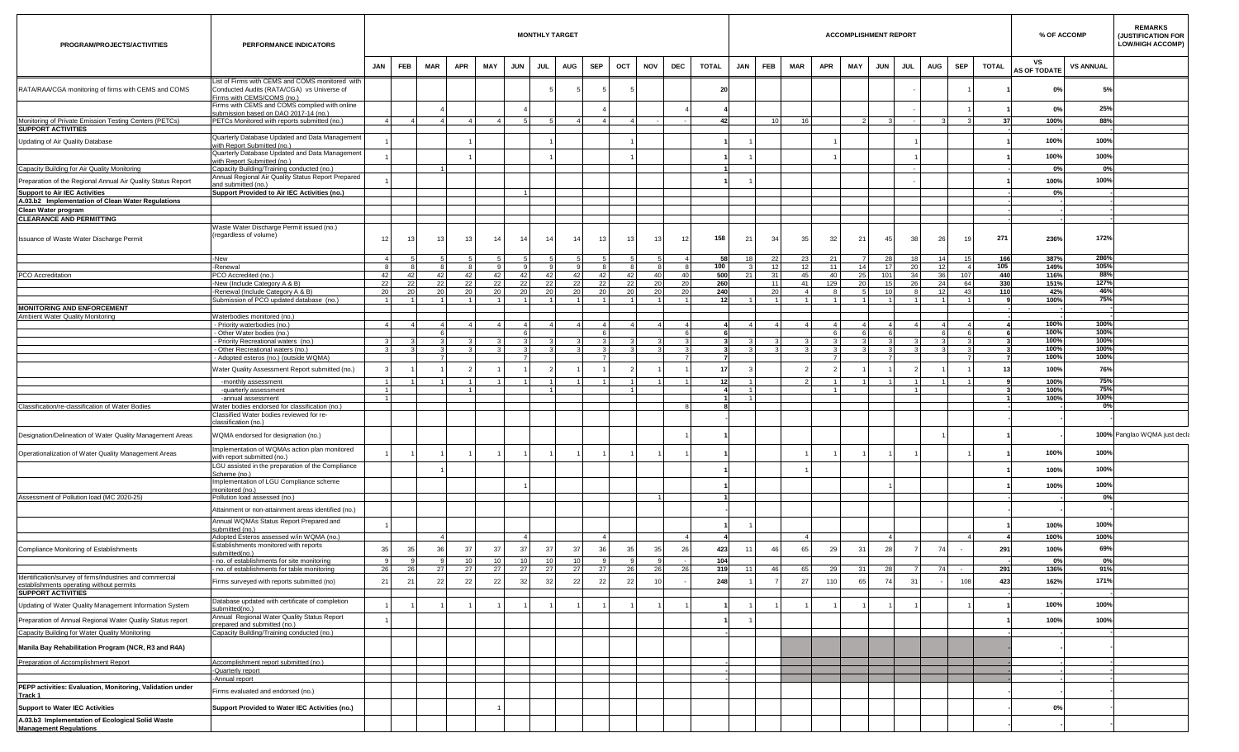| PROGRAM/PROJECTS/ACTIVITIES                                                                          | PERFORMANCE INDICATORS                                                                                                      |          |                      |          |                       |                       |                 | <b>MONTHLY TARGET</b> |            |                       |           |              |     |                 |              |            |            |                      |            |            | <b>ACCOMPLISHMENT REPORT</b>       |            |            |                |              |                           | % OF ACCOMP      | <b>REMARKS</b><br><b>(JUSTIFICATION FOR</b><br><b>LOW/HIGH ACCOMP)</b> |
|------------------------------------------------------------------------------------------------------|-----------------------------------------------------------------------------------------------------------------------------|----------|----------------------|----------|-----------------------|-----------------------|-----------------|-----------------------|------------|-----------------------|-----------|--------------|-----|-----------------|--------------|------------|------------|----------------------|------------|------------|------------------------------------|------------|------------|----------------|--------------|---------------------------|------------------|------------------------------------------------------------------------|
|                                                                                                      |                                                                                                                             | JAN      | <b>FEB</b>           | MAR      | <b>APR</b>            | MAY                   | <b>JUN</b>      | <b>JUL</b>            | <b>AUG</b> | <b>SEP</b>            |           | OCT          | NOV | <b>DEC</b>      | <b>TOTAL</b> | <b>JAN</b> | <b>FEB</b> | <b>MAR</b>           | <b>APR</b> | <b>MAY</b> | <b>JUN</b>                         | <b>JUL</b> | <b>AUG</b> | <b>SEP</b>     | <b>TOTAL</b> | vs<br><b>AS OF TODATE</b> | <b>VS ANNUAL</b> |                                                                        |
| RATA/RAA/CGA monitoring of firms with CEMS and COMS                                                  | List of Firms with CEMS and COMS monitored with<br>Conducted Audits (RATA/CGA) vs Universe of<br>Firms with CEMS/COMS (no.) |          |                      |          |                       |                       |                 |                       |            |                       |           |              |     |                 | 20           |            |            |                      |            |            |                                    |            |            |                |              | <b>0%</b>                 | 5%               |                                                                        |
|                                                                                                      | Firms with CEMS and COMS complied with online                                                                               |          |                      |          |                       |                       |                 |                       |            |                       |           |              |     |                 |              |            |            |                      |            |            |                                    |            |            |                |              | <b>0%</b>                 | 25%              |                                                                        |
| Monitoring of Private Emission Testing Centers (PETCs)                                               | submission based on DAO 2017-14 (no.)<br>PETCs Monitored with reports submitted (no.)                                       |          | $\mathbf{A}$         | -41      | $\mathbf{A}$          |                       |                 |                       |            |                       |           | $\mathbf{A}$ |     |                 | 42           |            | 10         | 16 <sup>1</sup>      |            |            |                                    |            |            |                | -37          | 100%                      | 88%              |                                                                        |
| <b>SUPPORT ACTIVITIES</b>                                                                            |                                                                                                                             |          |                      |          |                       |                       |                 |                       |            |                       |           |              |     |                 |              |            |            |                      |            |            |                                    |            |            |                |              |                           |                  |                                                                        |
| Updating of Air Quality Database                                                                     | Quarterly Database Updated and Data Management<br>with Report Submitted (no.)                                               |          |                      |          |                       |                       |                 |                       |            |                       |           |              |     |                 |              |            |            |                      |            |            |                                    |            |            |                |              | 100%                      | 100%             |                                                                        |
|                                                                                                      | Quarterly Database Updated and Data Management<br>rith Report Submitted (no.)                                               |          |                      |          |                       |                       |                 |                       |            |                       |           |              |     |                 |              |            |            |                      |            |            |                                    |            |            |                |              | 100%                      | 100%             |                                                                        |
| Capacity Building for Air Quality Monitoring                                                         | Capacity Building/Training conducted (no.)                                                                                  |          |                      |          |                       |                       |                 |                       |            |                       |           |              |     |                 |              |            |            |                      |            |            |                                    |            |            |                |              | 0%                        | 0%               |                                                                        |
| Preparation of the Regional Annual Air Quality Status Report                                         | Annual Regional Air Quality Status Report Prepared<br>and submitted (no.)                                                   |          |                      |          |                       |                       |                 |                       |            |                       |           |              |     |                 |              |            |            |                      |            |            |                                    |            |            |                |              | 100%                      | 100%             |                                                                        |
| <b>Support to Air IEC Activities</b>                                                                 | Support Provided to Air IEC Activities (no.)                                                                                |          |                      |          |                       |                       |                 |                       |            |                       |           |              |     |                 |              |            |            |                      |            |            |                                    |            |            |                |              | 0%                        |                  |                                                                        |
| A.03.b2 Implementation of Clean Water Regulations                                                    |                                                                                                                             |          |                      |          |                       |                       |                 |                       |            |                       |           |              |     |                 |              |            |            |                      |            |            |                                    |            |            |                |              |                           |                  |                                                                        |
| Clean Water program<br><b>CLEARANCE AND PERMITTING</b>                                               |                                                                                                                             |          |                      |          |                       |                       |                 |                       |            |                       |           |              |     |                 |              |            |            |                      |            |            |                                    |            |            |                |              |                           |                  |                                                                        |
| Issuance of Waste Water Discharge Permit                                                             | Waste Water Discharge Permit issued (no.)<br>regardless of volume)                                                          | 12       | 13                   | 13       | 13                    | 14 <sup>1</sup>       |                 | 14                    | 14         | 14                    | 13        | 13           | 13  | 12              | 158          | 21         | 34         | 35                   | 32         |            | 21<br>45                           | 38         | 26         | 1 <sup>c</sup> | 271          | 236%                      | 172%             |                                                                        |
|                                                                                                      | -New                                                                                                                        |          |                      |          |                       |                       |                 |                       |            |                       |           |              |     |                 | 58           | 18         | 22         | 23                   | 21         |            |                                    | 28<br>18   | 14         | 15             | 166          | 387%                      | 286%             |                                                                        |
|                                                                                                      | -Renewal                                                                                                                    |          |                      |          | $\mathbf{R}$          |                       |                 |                       |            |                       |           |              |     |                 | 100          |            | 12         | 12                   | 11         |            | 14<br>17                           | 20         |            |                | 105          | 149%                      | 105%             |                                                                        |
| PCO Accreditation                                                                                    | <b>PCO</b> Accredited (no.)                                                                                                 | 42       | 42                   | 42       | 42                    | 42<br>22              |                 | 42                    | 42         | 42<br>-22             | 42<br>22  | 42           | 40  | 40<br>-20       | 500          | 21         | 31<br>11   | 45                   | 40         |            | 25 <sub>1</sub><br>101<br>20<br>15 | 34<br>26   | 24         | 107            | 440          | 116%<br>151%              | 88%<br>127%      |                                                                        |
|                                                                                                      | -New (Include Category A & B)<br>-Renewal (Include Category A & B)                                                          | 22<br>20 | - 22<br>20           | 22<br>20 | 22<br><b>20</b>       | 20 <sub>1</sub>       |                 | 22<br>20              | 22<br>20   | 20                    | <b>20</b> | 22<br>20     |     | 20 <sup>1</sup> | 260<br>240   |            | 20         | 41<br>$\overline{a}$ | 129        |            | 10 <sup>1</sup>                    |            | 12         | 64<br>43       | 330<br>110   | 42%                       | 46%              |                                                                        |
|                                                                                                      | Submission of PCO updated database (no.)                                                                                    |          |                      |          |                       |                       |                 |                       |            |                       |           |              |     |                 | 12           |            |            |                      |            |            |                                    |            |            |                |              | 100%                      | 75%              |                                                                        |
| <b>MONITORING AND ENFORCEMENT</b>                                                                    |                                                                                                                             |          |                      |          |                       |                       |                 |                       |            |                       |           |              |     |                 |              |            |            |                      |            |            |                                    |            |            |                |              |                           |                  |                                                                        |
| Ambient Water Quality Monitoring                                                                     | Waterbodies monitored (no.)<br>- Priority waterbodies (no.)                                                                 |          |                      |          | $\mathbf{A}$          |                       |                 |                       |            |                       |           |              |     |                 |              |            |            |                      |            |            |                                    |            |            |                |              | 100%                      | 100%             |                                                                        |
|                                                                                                      | - Other Water bodies (no.)                                                                                                  |          |                      |          |                       |                       |                 |                       |            |                       |           |              |     |                 |              |            |            |                      |            |            |                                    |            |            |                |              | 100%                      | 100%             |                                                                        |
|                                                                                                      | Priority Recreational waters (no.)                                                                                          |          |                      |          |                       |                       |                 |                       |            |                       |           |              |     |                 |              |            |            |                      |            |            |                                    |            |            |                |              | 100%                      | 100%             |                                                                        |
|                                                                                                      | - Other Recreational waters (no.)<br>- Adopted esteros (no.) (outside WQMA)                                                 |          |                      |          |                       |                       |                 |                       |            |                       |           |              |     |                 |              |            | -3         |                      |            |            |                                    |            |            |                |              | 100%<br>100%              | 100%<br>100%     |                                                                        |
|                                                                                                      | Vater Quality Assessment Report submitted (no.)                                                                             |          |                      |          |                       |                       |                 |                       |            |                       |           |              |     |                 | 17           |            |            |                      |            |            |                                    |            |            |                |              | 100%                      | 76%              |                                                                        |
|                                                                                                      | -monthly assessment                                                                                                         |          |                      |          | 1 <sup>1</sup>        |                       |                 |                       |            |                       |           | $\sim$       |     |                 | 12           |            |            |                      |            |            |                                    |            |            |                |              | 100%                      | 75%              |                                                                        |
|                                                                                                      | -quarterly assessment<br>-annual assessment                                                                                 |          |                      |          | $\blacksquare$        |                       |                 |                       |            |                       |           |              |     |                 |              |            |            |                      |            |            |                                    |            |            |                |              | 100%<br>100%              | 75%<br>100%      |                                                                        |
| Classification/re-classification of Water Bodies                                                     | Water bodies endorsed for classification (no.)                                                                              |          |                      |          |                       |                       |                 |                       |            |                       |           |              |     |                 |              |            |            |                      |            |            |                                    |            |            |                |              |                           | 0%               |                                                                        |
|                                                                                                      | lassified Water bodies reviewed for re-<br>lassification (no.)                                                              |          |                      |          |                       |                       |                 |                       |            |                       |           |              |     |                 |              |            |            |                      |            |            |                                    |            |            |                |              |                           |                  |                                                                        |
| Designation/Delineation of Water Quality Management Areas                                            | WQMA endorsed for designation (no.)                                                                                         |          |                      |          |                       |                       |                 |                       |            |                       |           |              |     |                 |              |            |            |                      |            |            |                                    |            |            |                |              |                           |                  | 100% Panglao WQMA just deck                                            |
| Operationalization of Water Quality Management Areas                                                 | Implementation of WQMAs action plan monitored<br>with report submitted (no.)                                                |          |                      |          |                       |                       |                 |                       |            |                       |           |              |     |                 |              |            |            |                      |            |            |                                    |            |            |                |              | 100%                      | 100%             |                                                                        |
|                                                                                                      | GU assisted in the preparation of the Compliance<br>Scheme (no.)<br>mplementation of LGU Compliance scheme                  |          |                      |          |                       |                       |                 |                       |            |                       |           |              |     |                 |              |            |            |                      |            |            |                                    |            |            |                |              | 100%                      | 100%             |                                                                        |
|                                                                                                      | nonitored (no.)                                                                                                             |          |                      |          |                       |                       |                 |                       |            |                       |           |              |     |                 |              |            |            |                      |            |            |                                    |            |            |                |              | 100%                      | 100%             |                                                                        |
| Assessment of Pollution load (MC 2020-25)                                                            | Pollution load assessed (no.)                                                                                               |          |                      |          |                       |                       |                 |                       |            |                       |           |              |     |                 |              |            |            |                      |            |            |                                    |            |            |                |              |                           | 0%               |                                                                        |
|                                                                                                      | Attainment or non-attainment areas identified (no.)                                                                         |          |                      |          |                       |                       |                 |                       |            |                       |           |              |     |                 |              |            |            |                      |            |            |                                    |            |            |                |              |                           |                  |                                                                        |
|                                                                                                      | Annual WQMAs Status Report Prepared and<br>ubmitted (no.)                                                                   |          |                      |          |                       |                       |                 |                       |            |                       |           |              |     |                 |              |            |            |                      |            |            |                                    |            |            |                |              | 100%                      | 100%             |                                                                        |
|                                                                                                      | Adopted Esteros assessed w/in WQMA (no.)<br>Establishments monitored with reports                                           |          |                      | -41      |                       |                       |                 | $\overline{4}$        |            |                       | 4         |              |     |                 |              |            |            | -41                  |            |            |                                    | -41        |            | $\mathbf{4}$   |              | 100%                      | 100%             |                                                                        |
| Compliance Monitoring of Establishments                                                              | submitted(no.)                                                                                                              | 35       | 35                   | 36       | 37                    | 37                    | 37              | 37                    |            | 37                    | 36        | 35           | 35  | 26              | 423          | 11         | 46         | 65                   | 29         |            | 28<br>31                           |            | 74         |                | 291          | 100%                      | 69%              |                                                                        |
|                                                                                                      | - no. of establishments for site monitoring<br>no. of establishments for table monitoring                                   | 9<br>26  | 9 <sup>1</sup><br>26 | 9<br>27  | 10 <sup>1</sup><br>27 | 10 <sup>1</sup><br>27 | 10 <sup>1</sup> | 27                    | 10<br>27   | 10 <sup>1</sup><br>27 | 27        | 26           | 26  | 26              | 104          | 11         | 46         | 65                   | 29         |            | 31<br>28                           |            | 74         |                |              | 0%                        | $0\%$<br>91%     |                                                                        |
| Identification/survey of firms/industries and commercial<br>establishments operating without permits | Firms surveyed with reports submitted (no)                                                                                  | 21       | 21                   | 22       | 22                    | 22                    |                 | 32                    | 32         | 22                    | 22        | 22           |     |                 | 319<br>248   |            |            | 27                   | 110        |            | 65<br>74                           | 31         |            | 108            | 291<br>423   | 136%<br>162%              | 171%             |                                                                        |
| <b>SUPPORT ACTIVITIES</b><br>Updating of Water Quality Management Information System                 | Database updated with certificate of completion                                                                             |          |                      |          |                       |                       |                 |                       |            |                       |           |              |     |                 |              |            |            |                      |            |            |                                    |            |            |                |              | 100%                      | 100%             |                                                                        |
| Preparation of Annual Regional Water Quality Status report                                           | ubmitted(no.)<br>Annual Regional Water Quality Status Report<br>repared and submitted (no.)                                 |          |                      |          |                       |                       |                 |                       |            |                       |           |              |     |                 |              |            |            |                      |            |            |                                    |            |            |                |              | 100%                      | 100%             |                                                                        |
| Capacity Building for Water Quality Monitoring                                                       | Capacity Building/Training conducted (no.)                                                                                  |          |                      |          |                       |                       |                 |                       |            |                       |           |              |     |                 |              |            |            |                      |            |            |                                    |            |            |                |              |                           |                  |                                                                        |
| Manila Bay Rehabilitation Program (NCR, R3 and R4A)                                                  |                                                                                                                             |          |                      |          |                       |                       |                 |                       |            |                       |           |              |     |                 |              |            |            |                      |            |            |                                    |            |            |                |              |                           |                  |                                                                        |
| Preparation of Accomplishment Report                                                                 | Accomplishment report submitted (no.)<br>-Quarterly report                                                                  |          |                      |          |                       |                       |                 |                       |            |                       |           |              |     |                 |              |            |            |                      |            |            |                                    |            |            |                |              |                           |                  |                                                                        |
|                                                                                                      | -Annual report                                                                                                              |          |                      |          |                       |                       |                 |                       |            |                       |           |              |     |                 |              |            |            |                      |            |            |                                    |            |            |                |              |                           |                  |                                                                        |
| PEPP activities: Evaluation, Monitoring, Validation under<br>Track 1                                 | Firms evaluated and endorsed (no.)                                                                                          |          |                      |          |                       |                       |                 |                       |            |                       |           |              |     |                 |              |            |            |                      |            |            |                                    |            |            |                |              |                           |                  |                                                                        |
| <b>Support to Water IEC Activities</b><br>A.03.b3 Implementation of Ecological Solid Waste           | Support Provided to Water IEC Activities (no.)                                                                              |          |                      |          |                       |                       |                 |                       |            |                       |           |              |     |                 |              |            |            |                      |            |            |                                    |            |            |                |              | <b>0%</b>                 |                  |                                                                        |
| <b>Management Regulations</b>                                                                        |                                                                                                                             |          |                      |          |                       |                       |                 |                       |            |                       |           |              |     |                 |              |            |            |                      |            |            |                                    |            |            |                |              |                           |                  |                                                                        |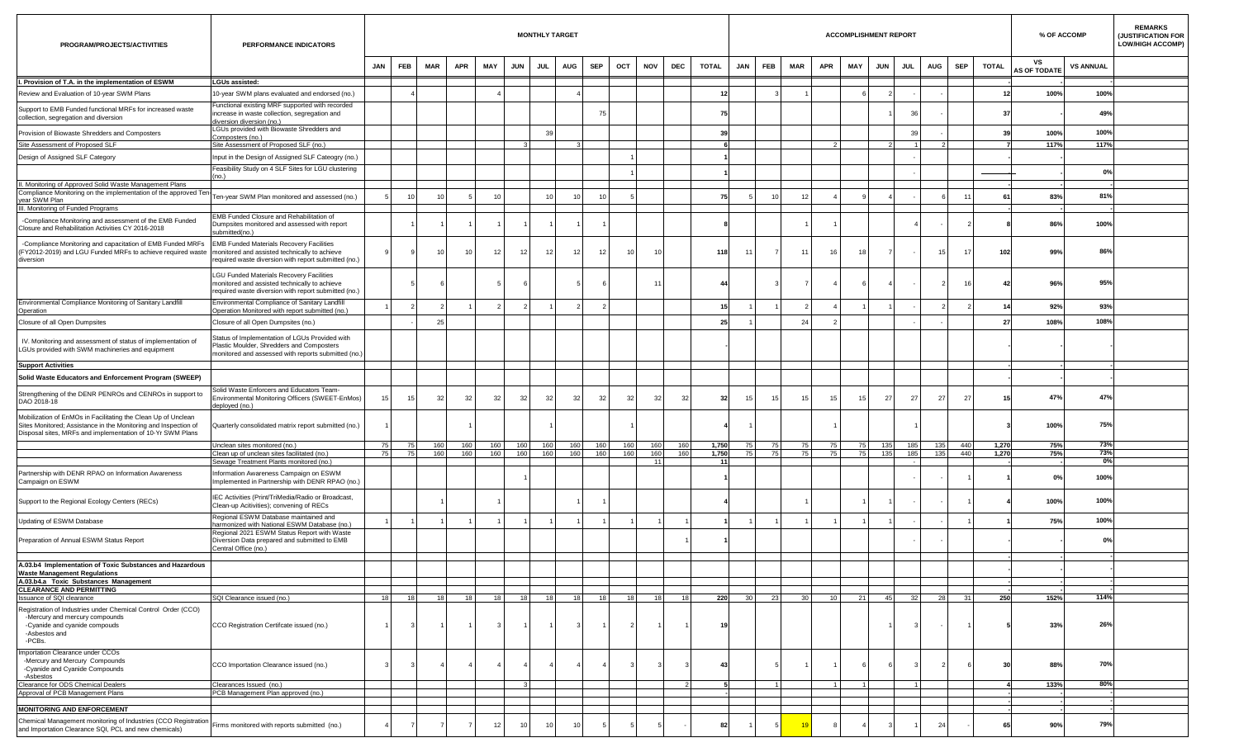| PROGRAM/PROJECTS/ACTIVITIES                                                                                                                                                                    | PERFORMANCE INDICATORS                                                                                                                                   |            |                         |            |            |                 |            | <b>MONTHLY TARGET</b> |            |            |     |            |            |              |     |                 |            |                 | <b>ACCOMPLISHMENT REPORT</b> |            |                 |            |            |              | % OF ACCOMP               |                  | <b>REMARKS</b><br><b>JUSTIFICATION FOR</b><br><b>LOW/HIGH ACCOMP)</b> |
|------------------------------------------------------------------------------------------------------------------------------------------------------------------------------------------------|----------------------------------------------------------------------------------------------------------------------------------------------------------|------------|-------------------------|------------|------------|-----------------|------------|-----------------------|------------|------------|-----|------------|------------|--------------|-----|-----------------|------------|-----------------|------------------------------|------------|-----------------|------------|------------|--------------|---------------------------|------------------|-----------------------------------------------------------------------|
|                                                                                                                                                                                                |                                                                                                                                                          | <b>JAN</b> | <b>FEB</b>              | <b>MAR</b> | <b>APR</b> | MAY             | <b>JUN</b> | JUL                   | <b>AUG</b> | <b>SEP</b> | OCT | <b>NOV</b> | <b>DEC</b> | <b>TOTAL</b> | JAN | FEB             | <b>MAR</b> | <b>APR</b>      | MAY                          | <b>JUN</b> | <b>JUL</b>      | <b>AUG</b> | <b>SEP</b> | <b>TOTAL</b> | vs<br><b>AS OF TODATE</b> | <b>VS ANNUAL</b> |                                                                       |
| I. Provision of T.A. in the implementation of ESWM                                                                                                                                             | <b>LGUs assisted:</b>                                                                                                                                    |            |                         |            |            |                 |            |                       |            |            |     |            |            |              |     |                 |            |                 |                              |            |                 |            |            |              |                           |                  |                                                                       |
| Review and Evaluation of 10-year SWM Plans                                                                                                                                                     | 10-year SWM plans evaluated and endorsed (no.)                                                                                                           |            |                         |            |            |                 |            |                       |            |            |     |            |            | 12           |     |                 |            |                 |                              |            |                 |            |            |              | 100%                      | 100%             |                                                                       |
| Support to EMB Funded functional MRFs for increased waste<br>collection, segregation and diversion                                                                                             | unctional existing MRF supported with recorded<br>increase in waste collection, segregation and<br>diversion diversion (no.)                             |            |                         |            |            |                 |            |                       |            | 75         |     |            |            | 75           |     |                 |            |                 |                              |            | 30              |            |            | -37          |                           | 49%              |                                                                       |
| Provision of Biowaste Shredders and Composters                                                                                                                                                 | LGUs provided with Biowaste Shredders and<br>Composters (no.)                                                                                            |            |                         |            |            |                 |            |                       |            |            |     |            |            | 39           |     |                 |            |                 |                              |            | 39              |            |            | 39           | 100%                      | 100%             |                                                                       |
| Site Assessment of Proposed SLF                                                                                                                                                                | Site Assessment of Proposed SLF (no.)                                                                                                                    |            |                         |            |            |                 |            |                       |            |            |     |            |            |              |     |                 |            |                 |                              |            |                 |            |            |              | 117%                      | 117%             |                                                                       |
| Design of Assigned SLF Category                                                                                                                                                                | Input in the Design of Assigned SLF Cateogry (no.)                                                                                                       |            |                         |            |            |                 |            |                       |            |            |     |            |            |              |     |                 |            |                 |                              |            |                 |            |            |              |                           |                  |                                                                       |
|                                                                                                                                                                                                | Feasibility Study on 4 SLF Sites for LGU clustering<br>no.)                                                                                              |            |                         |            |            |                 |            |                       |            |            |     |            |            |              |     |                 |            |                 |                              |            |                 |            |            |              |                           | 0%               |                                                                       |
| II. Monitoring of Approved Solid Waste Management Plans                                                                                                                                        |                                                                                                                                                          |            |                         |            |            |                 |            |                       |            |            |     |            |            |              |     |                 |            |                 |                              |            |                 |            |            |              |                           |                  |                                                                       |
| Compliance Monitoring on the implementation of the approved Ten-<br>year SWM Plan                                                                                                              | Ten-year SWM Plan monitored and assessed (no.)                                                                                                           |            | 10                      |            |            | 10              |            |                       | 10         |            |     |            |            | 75           |     |                 | 12         |                 |                              |            |                 |            | 11         |              | 83%                       | 81%              |                                                                       |
| III. Monitoring of Funded Programs                                                                                                                                                             |                                                                                                                                                          |            |                         |            |            |                 |            |                       |            |            |     |            |            |              |     |                 |            |                 |                              |            |                 |            |            |              |                           |                  |                                                                       |
| -Compliance Monitoring and assessment of the EMB Funded<br>Closure and Rehabilitation Activities CY 2016-2018                                                                                  | EMB Funded Closure and Rehabilitation of<br>Dumpsites monitored and assessed with report<br>ubmitted(no.)                                                |            |                         |            |            |                 |            |                       |            |            |     |            |            |              |     |                 |            |                 |                              |            |                 |            |            |              | 86%                       | 100%             |                                                                       |
| -Compliance Monitoring and capacitation of EMB Funded MRFs<br>(FY2012-2019) and LGU Funded MRFs to achieve required waste<br>diversion                                                         | <b>EMB Funded Materials Recovery Facilities</b><br>monitored and assisted technically to achieve<br>required waste diversion with report submitted (no.) |            | -9                      |            | 10         | 12              | 12         | 12                    | 12         | 12         | 10  | 1(         |            | 118          | -11 |                 | 11         | 16              | 18                           |            |                 | 15         | 17         | 102          | 99%                       | 86%              |                                                                       |
|                                                                                                                                                                                                | LGU Funded Materials Recovery Facilities<br>monitored and assisted technically to achieve<br>required waste diversion with report submitted (no.)        |            |                         |            |            |                 |            |                       |            |            |     | 11         |            | 44           |     |                 |            |                 |                              |            |                 |            | 16         | 42           | 96%                       | 95%              |                                                                       |
| Environmental Compliance Monitoring of Sanitary Landfill<br>Operation                                                                                                                          | Environmental Compliance of Sanitary Landfill<br>Operation Monitored with report submitted (no.)                                                         |            |                         |            |            |                 |            |                       |            |            |     |            |            | 15           |     |                 |            |                 |                              |            |                 |            |            |              | 92%                       | 93%              |                                                                       |
| Closure of all Open Dumpsites                                                                                                                                                                  | Closure of all Open Dumpsites (no.)                                                                                                                      |            |                         | 25         |            |                 |            |                       |            |            |     |            |            | 25           |     |                 | 24         |                 |                              |            |                 |            |            | 27           | 108%                      | 108%             |                                                                       |
| IV. Monitoring and assessment of status of implementation of<br>LGUs provided with SWM machineries and equipment                                                                               | Status of Implementation of LGUs Provided with<br>Plastic Moulder, Shredders and Composters<br>monitored and assessed with reports submitted (no.)       |            |                         |            |            |                 |            |                       |            |            |     |            |            |              |     |                 |            |                 |                              |            |                 |            |            |              |                           |                  |                                                                       |
| <b>Support Activities</b>                                                                                                                                                                      |                                                                                                                                                          |            |                         |            |            |                 |            |                       |            |            |     |            |            |              |     |                 |            |                 |                              |            |                 |            |            |              |                           |                  |                                                                       |
| Solid Waste Educators and Enforcement Program (SWEEP)                                                                                                                                          |                                                                                                                                                          |            |                         |            |            |                 |            |                       |            |            |     |            |            |              |     |                 |            |                 |                              |            |                 |            |            |              |                           |                  |                                                                       |
| Strengthening of the DENR PENROs and CENROs in support to<br>DAO 2018-18                                                                                                                       | Solid Waste Enforcers and Educators Team-<br>Environmental Monitoring Officers (SWEET-EnMos)<br>deployed (no.)                                           | 15         | 15                      | 32         | 32         | 32              | 32         | 32                    | 32         | 32         | 32  | 32         | 32         | 32           | 15  | 15              | 15         | 15              | 15                           | 27         | - 27            | 27         | 27         | 15           | 47%                       | 47%              |                                                                       |
| Mobilization of EnMOs in Facilitating the Clean Up of Unclean<br>Sites Monitored; Assistance in the Monitoring and Inspection of<br>Disposal sites, MRFs and implementation of 10-Yr SWM Plans | Quarterly consolidated matrix report submitted (no.)                                                                                                     |            |                         |            |            |                 |            |                       |            |            |     |            |            |              |     |                 |            |                 |                              |            |                 |            |            |              | 100%                      | 75%              |                                                                       |
|                                                                                                                                                                                                | Unclean sites monitored (no.)                                                                                                                            | 75 I       | 75                      | 160        | 160        | 160             | 160        | 160                   | 160        | 160        | 160 | 160        | 160        | 1,750        | 75  | 75              | 75         | 75              | 75                           | 135        | 185             | 135        | 440        | 1,270        | 75%                       | 73%              |                                                                       |
|                                                                                                                                                                                                | Clean up of unclean sites facilitated (no.)                                                                                                              | 75 I       | 75                      | 160        | 160        | 160             | 160        | 160                   | 160        | 160        | 160 | 160        | 160        | 1,750        | 75  | 75              | 75         | 75              | 75                           | 135        | 185             | 135        | 440        | 1,270        | 75%                       | 73%              |                                                                       |
| Partnership with DENR RPAO on Information Awareness<br>Campaign on ESWM                                                                                                                        | Sewage Treatment Plants monitored (no.)<br>Information Awareness Campaign on ESWM<br>Implemented in Partnership with DENR RPAO (no.)                     |            |                         |            |            |                 |            |                       |            |            |     |            |            | 11           |     |                 |            |                 |                              |            |                 |            |            |              | 0%                        | 0%<br>100%       |                                                                       |
| Support to the Regional Ecology Centers (RECs)                                                                                                                                                 | IEC Activities (Print/TriMedia/Radio or Broadcast,<br>Clean-up Acitivities); convening of RECs                                                           |            |                         |            |            |                 |            |                       |            |            |     |            |            |              |     |                 |            |                 |                              |            |                 |            |            |              | 100%                      | 100%             |                                                                       |
| Updating of ESWM Database                                                                                                                                                                      | Regional ESWM Database maintained and<br>armonized with National ESWM Database (no.)                                                                     |            |                         |            |            |                 |            |                       |            |            |     |            |            |              |     |                 |            |                 |                              |            |                 |            |            |              | 75%                       | 100%             |                                                                       |
| Preparation of Annual ESWM Status Report                                                                                                                                                       | Regional 2021 ESWM Status Report with Waste<br>Diversion Data prepared and submitted to EMB<br>Central Office (no.)                                      |            |                         |            |            |                 |            |                       |            |            |     |            |            |              |     |                 |            |                 |                              |            |                 |            |            |              |                           | 0%               |                                                                       |
| A.03.b4 Implementation of Toxic Substances and Hazardous                                                                                                                                       |                                                                                                                                                          |            |                         |            |            |                 |            |                       |            |            |     |            |            |              |     |                 |            |                 |                              |            |                 |            |            |              |                           |                  |                                                                       |
| <b>Waste Management Regulations</b><br>A.03.b4.a Toxic Substances Management                                                                                                                   |                                                                                                                                                          |            |                         |            |            |                 |            |                       |            |            |     |            |            |              |     |                 |            |                 |                              |            |                 |            |            |              |                           |                  |                                                                       |
| <b>CLEARANCE AND PERMITTING</b>                                                                                                                                                                |                                                                                                                                                          |            |                         |            |            |                 |            |                       |            |            |     |            |            |              |     |                 |            |                 |                              |            |                 |            |            |              |                           |                  |                                                                       |
| Issuance of SQI clearance                                                                                                                                                                      | SQI Clearance issued (no.)                                                                                                                               | 18         | 18                      | 18         | 18         | 18 <sup>1</sup> | 18         | 18 <sup>1</sup>       | 18         |            | 18  |            | 18         | 220          | 30  | 23 <sup>1</sup> | 30 I       | 10 <sup>1</sup> | 21                           | 45         | 32 <sub>l</sub> | 28         | 31         | 250          | 152%                      | 114%             |                                                                       |
| Registration of Industries under Chemical Control Order (CCO)<br>-Mercury and mercury compounds<br>-Cyanide and cyanide compouds<br>-Asbestos and<br>-PCBs.                                    | CCO Registration Certifcate issued (no.)                                                                                                                 |            | $\overline{\mathbf{3}}$ |            |            | $\mathbf{3}$    |            |                       |            |            |     |            |            | 19           |     |                 |            |                 |                              |            |                 | $\sim$     |            |              | 33%                       | 26%              |                                                                       |
| Importation Clearance under CCOs<br>-Mercury and Mercury Compounds<br>-Cyanide and Cyanide Compounds<br>-Asbestos                                                                              | CCO Importation Clearance issued (no.)                                                                                                                   |            | $\mathbf{3}$            |            |            |                 |            |                       |            |            |     |            |            | 43           |     |                 |            |                 |                              |            |                 |            |            | 30           | 88%                       | 70%              |                                                                       |
| Clearance for ODS Chemical Dealers                                                                                                                                                             | Clearances Issued (no.)                                                                                                                                  |            |                         |            |            |                 |            |                       |            |            |     |            |            |              |     |                 |            |                 | $\overline{1}$               |            |                 |            |            |              | 133%                      | 80%              |                                                                       |
| Approval of PCB Management Plans                                                                                                                                                               | PCB Management Plan approved (no.)                                                                                                                       |            |                         |            |            |                 |            |                       |            |            |     |            |            |              |     |                 |            |                 |                              |            |                 |            |            |              |                           |                  |                                                                       |
| <b>MONITORING AND ENFORCEMENT</b>                                                                                                                                                              |                                                                                                                                                          |            |                         |            |            |                 |            |                       |            |            |     |            |            |              |     |                 |            |                 |                              |            |                 |            |            |              |                           |                  |                                                                       |
| Chemical Management monitoring of Industries (CCO Registration<br>and Importation Clearance SQI, PCL and new chemicals)                                                                        | Firms monitored with reports submitted (no.)                                                                                                             |            |                         |            |            | 12              | 10         |                       |            |            |     |            |            | 82           |     |                 |            |                 |                              |            |                 | 24         |            |              | 90%                       | 79%              |                                                                       |